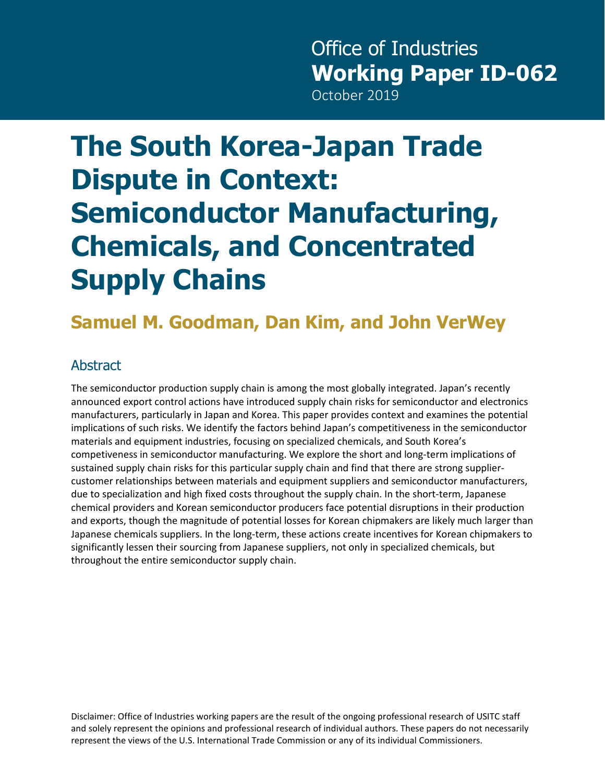# **The South Korea-Japan Trade Dispute in Context: Semiconductor Manufacturing, Chemicals, and Concentrated Supply Chains**

### **Samuel M. Goodman, Dan Kim, and John VerWey**

#### **Abstract**

The semiconductor production supply chain is among the most globally integrated. Japan's recently announced export control actions have introduced supply chain risks for semiconductor and electronics manufacturers, particularly in Japan and Korea. This paper provides context and examines the potential implications of such risks. We identify the factors behind Japan's competitiveness in the semiconductor materials and equipment industries, focusing on specialized chemicals, and South Korea's competiveness in semiconductor manufacturing. We explore the short and long-term implications of sustained supply chain risks for this particular supply chain and find that there are strong suppliercustomer relationships between materials and equipment suppliers and semiconductor manufacturers, due to specialization and high fixed costs throughout the supply chain. In the short-term, Japanese chemical providers and Korean semiconductor producers face potential disruptions in their production and exports, though the magnitude of potential losses for Korean chipmakers are likely much larger than Japanese chemicals suppliers. In the long-term, these actions create incentives for Korean chipmakers to significantly lessen their sourcing from Japanese suppliers, not only in specialized chemicals, but throughout the entire semiconductor supply chain.

Disclaimer: Office of Industries working papers are the result of the ongoing professional research of USITC staff and solely represent the opinions and professional research of individual authors. These papers do not necessarily represent the views of the U.S. International Trade Commission or any of its individual Commissioners.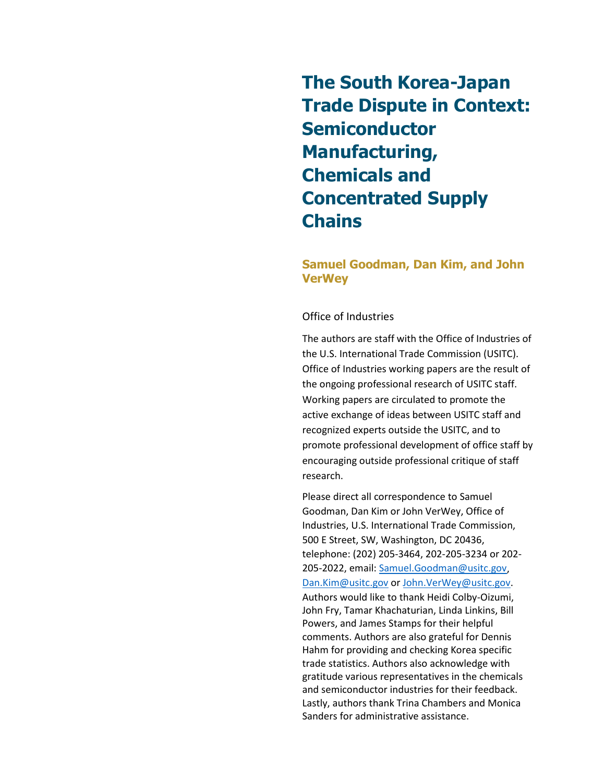**The South Korea-Japan Trade Dispute in Context: Semiconductor Manufacturing, Chemicals and Concentrated Supply Chains**

#### **Samuel Goodman, Dan Kim, and John VerWey**

#### Office of Industries

The authors are staff with the Office of Industries of the U.S. International Trade Commission (USITC). Office of Industries working papers are the result of the ongoing professional research of USITC staff. Working papers are circulated to promote the active exchange of ideas between USITC staff and recognized experts outside the USITC, and to promote professional development of office staff by encouraging outside professional critique of staff research.

Please direct all correspondence to Samuel Goodman, Dan Kim or John VerWey, Office of Industries, U.S. International Trade Commission, 500 E Street, SW, Washington, DC 20436, telephone: (202) 205-3464, 202-205-3234 or 202- 205-2022, email[: Samuel.Goodman@usitc.gov,](mailto:Samuel.Goodman@usitc.gov) [Dan.Kim@usitc.gov](mailto:Dan.Kim@usitc.gov) o[r John.VerWey@usitc.gov.](mailto:John.VerWey@usitc.gov) Authors would like to thank Heidi Colby-Oizumi, John Fry, Tamar Khachaturian, Linda Linkins, Bill Powers, and James Stamps for their helpful comments. Authors are also grateful for Dennis Hahm for providing and checking Korea specific trade statistics. Authors also acknowledge with gratitude various representatives in the chemicals and semiconductor industries for their feedback. Lastly, authors thank Trina Chambers and Monica Sanders for administrative assistance.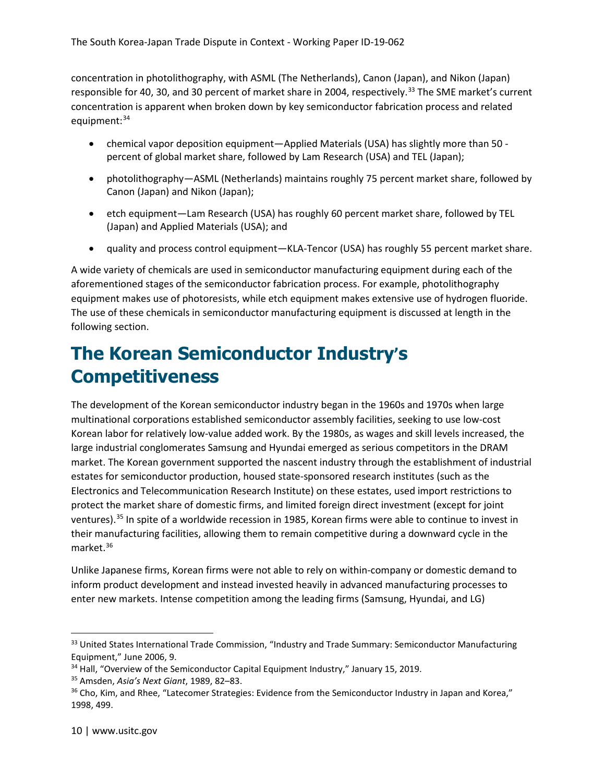concentration in photolithography, with ASML (The Netherlands), Canon (Japan), and Nikon (Japan) responsible for 40, 30, and 30 percent of market share in 2004, respectively.<sup>[33](#page-11-0)</sup> The SME market's current concentration is apparent when broken down by key semiconductor fabrication process and related equipment: [34](#page-11-1)

- chemical vapor deposition equipment—Applied Materials (USA) has slightly more than 50 percent of global market share, followed by Lam Research (USA) and TEL (Japan);
- photolithography—ASML (Netherlands) maintains roughly 75 percent market share, followed by Canon (Japan) and Nikon (Japan);
- etch equipment—Lam Research (USA) has roughly 60 percent market share, followed by TEL (Japan) and Applied Materials (USA); and
- quality and process control equipment—KLA-Tencor (USA) has roughly 55 percent market share.

A wide variety of chemicals are used in semiconductor manufacturing equipment during each of the aforementioned stages of the semiconductor fabrication process. For example, photolithography equipment makes use of photoresists, while etch equipment makes extensive use of hydrogen fluoride. The use of these chemicals in semiconductor manufacturing equipment is discussed at length in the following section.

### **The Korean Semiconductor Industry's Competitiveness**

The development of the Korean semiconductor industry began in the 1960s and 1970s when large multinational corporations established semiconductor assembly facilities, seeking to use low-cost Korean labor for relatively low-value added work. By the 1980s, as wages and skill levels increased, the large industrial conglomerates Samsung and Hyundai emerged as serious competitors in the DRAM market. The Korean government supported the nascent industry through the establishment of industrial estates for semiconductor production, housed state-sponsored research institutes (such as the Electronics and Telecommunication Research Institute) on these estates, used import restrictions to protect the market share of domestic firms, and limited foreign direct investment (except for joint ventures).[35](#page-11-2) In spite of a worldwide recession in 1985, Korean firms were able to continue to invest in their manufacturing facilities, allowing them to remain competitive during a downward cycle in the market.[36](#page-11-3)

Unlike Japanese firms, Korean firms were not able to rely on within-company or domestic demand to inform product development and instead invested heavily in advanced manufacturing processes to enter new markets. Intense competition among the leading firms (Samsung, Hyundai, and LG)

<span id="page-11-0"></span><sup>33</sup> United States International Trade Commission, "Industry and Trade Summary: Semiconductor Manufacturing Equipment," June 2006, 9.

<span id="page-11-1"></span><sup>&</sup>lt;sup>34</sup> Hall, "Overview of the Semiconductor Capital Equipment Industry," January 15, 2019.

<span id="page-11-2"></span><sup>35</sup> Amsden, *Asia's Next Giant*, 1989, 82–83.

<span id="page-11-3"></span><sup>&</sup>lt;sup>36</sup> Cho, Kim, and Rhee, "Latecomer Strategies: Evidence from the Semiconductor Industry in Japan and Korea," 1998, 499.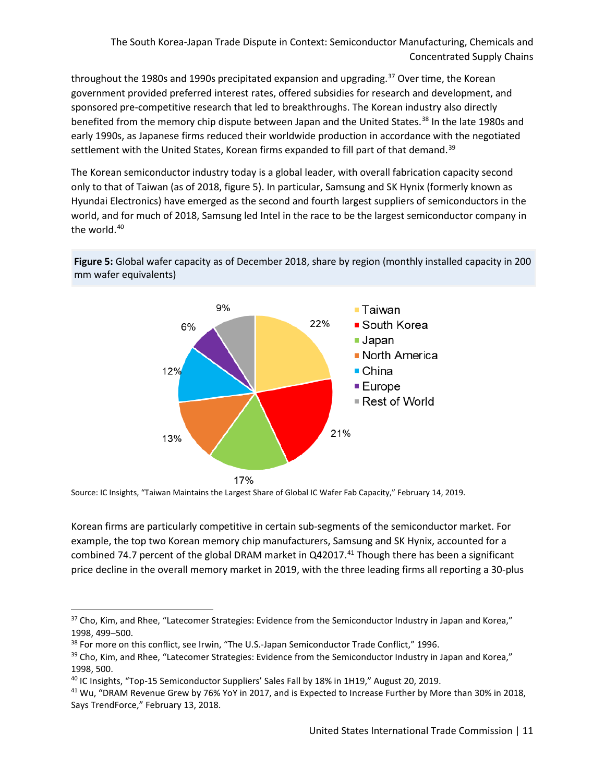throughout the 1980s and 1990s precipitated expansion and upgrading.<sup>[37](#page-12-0)</sup> Over time, the Korean government provided preferred interest rates, offered subsidies for research and development, and sponsored pre-competitive research that led to breakthroughs. The Korean industry also directly benefited from the memory chip dispute between Japan and the United States.<sup>[38](#page-12-1)</sup> In the late 1980s and early 1990s, as Japanese firms reduced their worldwide production in accordance with the negotiated settlement with the United States, Korean firms expanded to fill part of that demand.<sup>[39](#page-12-2)</sup>

The Korean semiconductor industry today is a global leader, with overall fabrication capacity second only to that of Taiwan (as of 2018, figure 5). In particular, Samsung and SK Hynix (formerly known as Hyundai Electronics) have emerged as the second and fourth largest suppliers of semiconductors in the world, and for much of 2018, Samsung led Intel in the race to be the largest semiconductor company in the world.<sup>[40](#page-12-3)</sup>





Source: IC Insights, "Taiwan Maintains the Largest Share of Global IC Wafer Fab Capacity," February 14, 2019.

Korean firms are particularly competitive in certain sub-segments of the semiconductor market. For example, the top two Korean memory chip manufacturers, Samsung and SK Hynix, accounted for a combined 74.7 percent of the global DRAM market in Q42017.<sup>[41](#page-12-4)</sup> Though there has been a significant price decline in the overall memory market in 2019, with the three leading firms all reporting a 30-plus

<span id="page-12-0"></span> $37$  Cho, Kim, and Rhee, "Latecomer Strategies: Evidence from the Semiconductor Industry in Japan and Korea," 1998, 499–500.

<span id="page-12-1"></span><sup>38</sup> For more on this conflict, see Irwin, "The U.S.-Japan Semiconductor Trade Conflict," 1996.

<span id="page-12-2"></span><sup>&</sup>lt;sup>39</sup> Cho, Kim, and Rhee, "Latecomer Strategies: Evidence from the Semiconductor Industry in Japan and Korea," 1998, 500.

<span id="page-12-3"></span><sup>40</sup> IC Insights, "Top-15 Semiconductor Suppliers' Sales Fall by 18% in 1H19," August 20, 2019.

<span id="page-12-4"></span><sup>41</sup> Wu, "DRAM Revenue Grew by 76% YoY in 2017, and is Expected to Increase Further by More than 30% in 2018, Says TrendForce," February 13, 2018.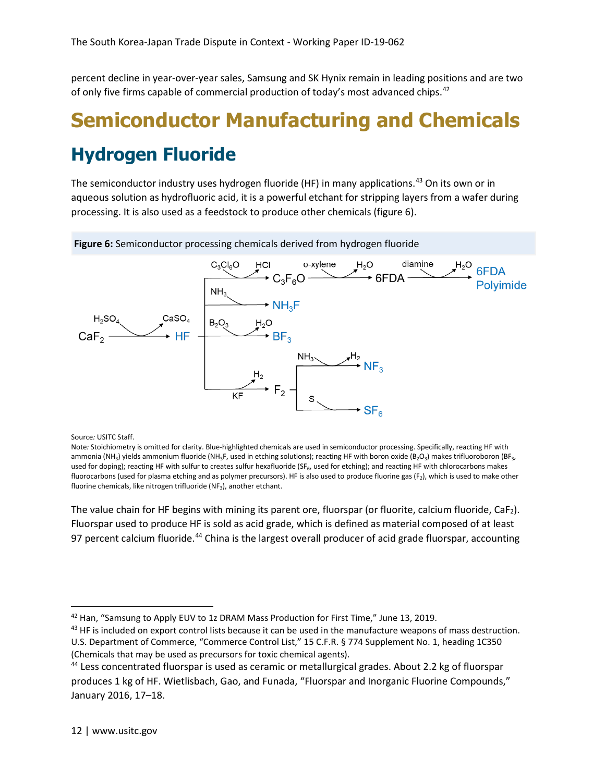percent decline in year-over-year sales, Samsung and SK Hynix remain in leading positions and are two of only five firms capable of commercial production of today's most advanced chips.<sup>[42](#page-13-0)</sup>

# **Semiconductor Manufacturing and Chemicals Hydrogen Fluoride**

The semiconductor industry uses hydrogen fluoride (HF) in many applications.<sup>[43](#page-13-1)</sup> On its own or in aqueous solution as hydrofluoric acid, it is a powerful etchant for stripping layers from a wafer during processing. It is also used as a feedstock to produce other chemicals (figure 6).



**Figure 6** Semiconductor processing chemicals derived from hydrogen fluoride

#### Source*:* USITC Staff.

Note*:* Stoichiometry is omitted for clarity. Blue-highlighted chemicals are used in semiconductor processing. Specifically, reacting HF with ammonia (NH<sub>3</sub>) yields ammonium fluoride (NH<sub>3</sub>F, used in etching solutions); reacting HF with boron oxide (B<sub>2</sub>O<sub>3</sub>) makes trifluoroboron (BF<sub>3</sub>, used for doping); reacting HF with sulfur to creates sulfur hexafluoride (SF<sub>6</sub>, used for etching); and reacting HF with chlorocarbons makes fluorocarbons (used for plasma etching and as polymer precursors). HF is also used to produce fluorine gas (F<sub>2</sub>), which is used to make other fluorine chemicals, like nitrogen trifluoride (NF<sub>3</sub>), another etchant.

The value chain for HF begins with mining its parent ore, fluorspar (or fluorite, calcium fluoride, CaF2). Fluorspar used to produce HF is sold as acid grade, which is defined as material composed of at least 97 percent calcium fluoride.<sup>[44](#page-13-2)</sup> China is the largest overall producer of acid grade fluorspar, accounting

<span id="page-13-0"></span><sup>&</sup>lt;sup>42</sup> Han, "Samsung to Apply EUV to 1z DRAM Mass Production for First Time," June 13, 2019.

<span id="page-13-1"></span> $43$  HF is included on export control lists because it can be used in the manufacture weapons of mass destruction. U.S. Department of Commerce, "Commerce Control List," 15 C.F.R. § 774 Supplement No. 1, heading 1C350 (Chemicals that may be used as precursors for toxic chemical agents).

<span id="page-13-2"></span><sup>&</sup>lt;sup>44</sup> Less concentrated fluorspar is used as ceramic or metallurgical grades. About 2.2 kg of fluorspar produces 1 kg of HF. Wietlisbach, Gao, and Funada, "Fluorspar and Inorganic Fluorine Compounds," January 2016, 17–18.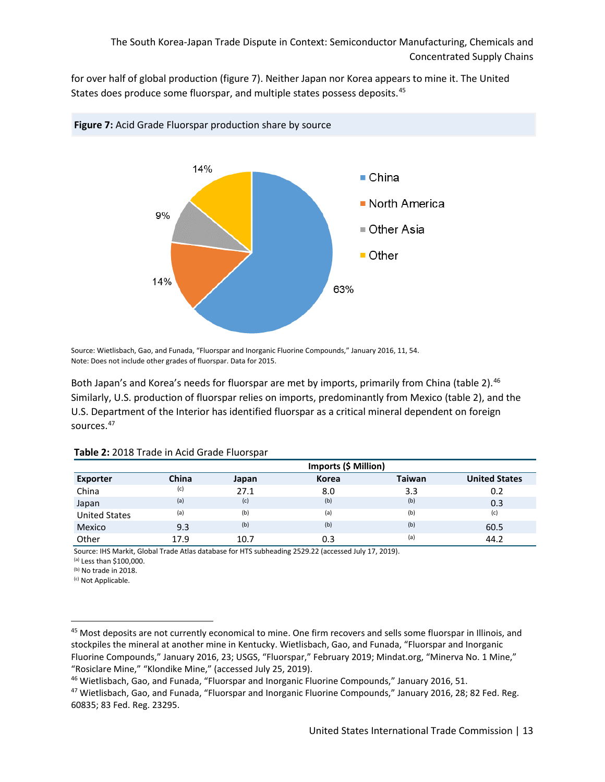for over half of global production (figure 7). Neither Japan nor Korea appears to mine it. The United States does produce some fluorspar, and multiple states possess deposits.<sup>[45](#page-14-0)</sup>



#### **Figure 7** Acid Grade Fluorspar production share by source

Source: Wietlisbach, Gao, and Funada, "Fluorspar and Inorganic Fluorine Compounds," January 2016, 11, 54. Note: Does not include other grades of fluorspar. Data for 2015.

Both Japan's and Korea's needs for fluorspar are met by imports, primarily from China (table 2).<sup>[46](#page-14-1)</sup> Similarly, U.S. production of fluorspar relies on imports, predominantly from Mexico (table 2), and the U.S. Department of the Interior has identified fluorspar as a critical mineral dependent on foreign sources[.47](#page-14-2)

|                      | Imports (\$ Million) |       |              |               |                      |
|----------------------|----------------------|-------|--------------|---------------|----------------------|
| <b>Exporter</b>      | China                | Japan | <b>Korea</b> | <b>Taiwan</b> | <b>United States</b> |
| China                | (c)                  | 27.1  | 8.0          | 3.3           | 0.2                  |
| Japan                | (a)                  | (c)   | (b)          | (b)           | 0.3                  |
| <b>United States</b> | (a)                  | (b)   | (a)          | (b)           | (c)                  |
| Mexico               | 9.3                  | (b)   | (b)          | (b)           | 60.5                 |
| Other                | 17.9                 | 10.7  | 0.3          | (a)           | 44.2                 |

#### **Table 2** 2018 Trade in Acid Grade Fluorspar

Source: IHS Markit, Global Trade Atlas database for HTS subheading 2529.22 (accessed July 17, 2019).

(a) Less than \$100,000.

(b) No trade in 2018.

(c) Not Applicable.

<span id="page-14-0"></span><sup>&</sup>lt;sup>45</sup> Most deposits are not currently economical to mine. One firm recovers and sells some fluorspar in Illinois, and stockpiles the mineral at another mine in Kentucky. Wietlisbach, Gao, and Funada, "Fluorspar and Inorganic Fluorine Compounds," January 2016, 23; USGS, "Fluorspar," February 2019; Mindat.org, "Minerva No. 1 Mine," "Rosiclare Mine," "Klondike Mine," (accessed July 25, 2019).

<span id="page-14-1"></span><sup>46</sup> Wietlisbach, Gao, and Funada, "Fluorspar and Inorganic Fluorine Compounds," January 2016, 51.

<span id="page-14-2"></span><sup>47</sup> Wietlisbach, Gao, and Funada, "Fluorspar and Inorganic Fluorine Compounds," January 2016, 28; 82 Fed. Reg. 60835; 83 Fed. Reg. 23295.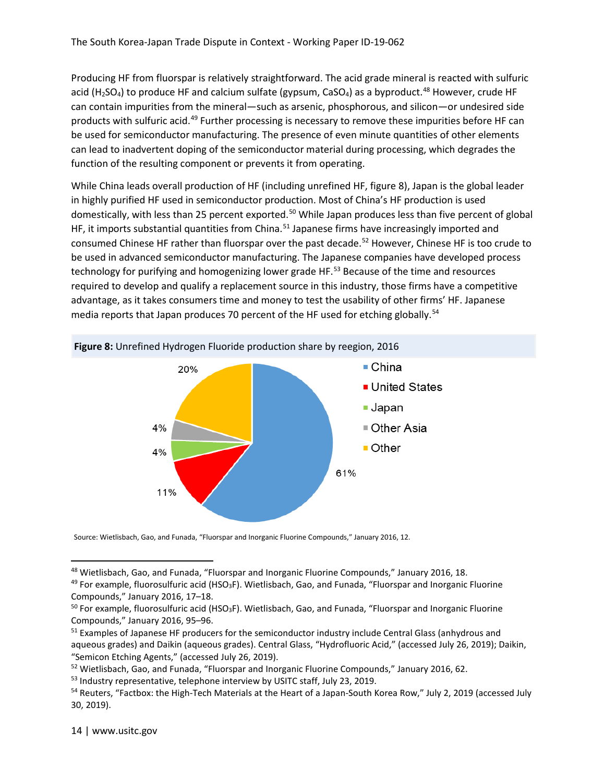Producing HF from fluorspar is relatively straightforward. The acid grade mineral is reacted with sulfuric acid (H<sub>2</sub>SO<sub>4</sub>) to produce HF and calcium sulfate (gypsum, CaSO<sub>4</sub>) as a byproduct.<sup>48</sup> However, crude HF can contain impurities from the mineral—such as arsenic, phosphorous, and silicon—or undesired side products with sulfuric acid.[49](#page-15-1) Further processing is necessary to remove these impurities before HF can be used for semiconductor manufacturing. The presence of even minute quantities of other elements can lead to inadvertent doping of the semiconductor material during processing, which degrades the function of the resulting component or prevents it from operating.

While China leads overall production of HF (including unrefined HF, figure 8), Japan is the global leader in highly purified HF used in semiconductor production. Most of China's HF production is used domestically, with less than 25 percent exported.<sup>[50](#page-15-2)</sup> While Japan produces less than five percent of global HF, it imports substantial quantities from China.<sup>[51](#page-15-3)</sup> Japanese firms have increasingly imported and consumed Chinese HF rather than fluorspar over the past decade.<sup>52</sup> However, Chinese HF is too crude to be used in advanced semiconductor manufacturing. The Japanese companies have developed process technology for purifying and homogenizing lower grade HF.<sup>[53](#page-15-5)</sup> Because of the time and resources required to develop and qualify a replacement source in this industry, those firms have a competitive advantage, as it takes consumers time and money to test the usability of other firms' HF. Japanese media reports that Japan produces 70 percent of the HF used for etching globally.<sup>[54](#page-15-6)</sup>



**Figure 8** Unrefined Hydrogen Fluoride production share by reegion, 2016

Source: Wietlisbach, Gao, and Funada, "Fluorspar and Inorganic Fluorine Compounds," January 2016, 12.

<span id="page-15-0"></span><sup>48</sup> Wietlisbach, Gao, and Funada, "Fluorspar and Inorganic Fluorine Compounds," January 2016, 18.

<span id="page-15-1"></span><sup>49</sup> For example, fluorosulfuric acid (HSO<sub>3</sub>F). Wietlisbach, Gao, and Funada, "Fluorspar and Inorganic Fluorine Compounds," January 2016, 17–18.

<span id="page-15-2"></span><sup>&</sup>lt;sup>50</sup> For example, fluorosulfuric acid (HSO<sub>3</sub>F). Wietlisbach, Gao, and Funada, "Fluorspar and Inorganic Fluorine Compounds," January 2016, 95–96.

<span id="page-15-3"></span><sup>&</sup>lt;sup>51</sup> Examples of Japanese HF producers for the semiconductor industry include Central Glass (anhydrous and aqueous grades) and Daikin (aqueous grades). Central Glass, "Hydrofluoric Acid," (accessed July 26, 2019); Daikin, "Semicon Etching Agents," (accessed July 26, 2019).

<span id="page-15-4"></span><sup>52</sup> Wietlisbach, Gao, and Funada, "Fluorspar and Inorganic Fluorine Compounds," January 2016, 62.

<span id="page-15-5"></span><sup>&</sup>lt;sup>53</sup> Industry representative, telephone interview by USITC staff, July 23, 2019.

<span id="page-15-6"></span><sup>&</sup>lt;sup>54</sup> Reuters, "Factbox: the High-Tech Materials at the Heart of a Japan-South Korea Row," July 2, 2019 (accessed July 30, 2019).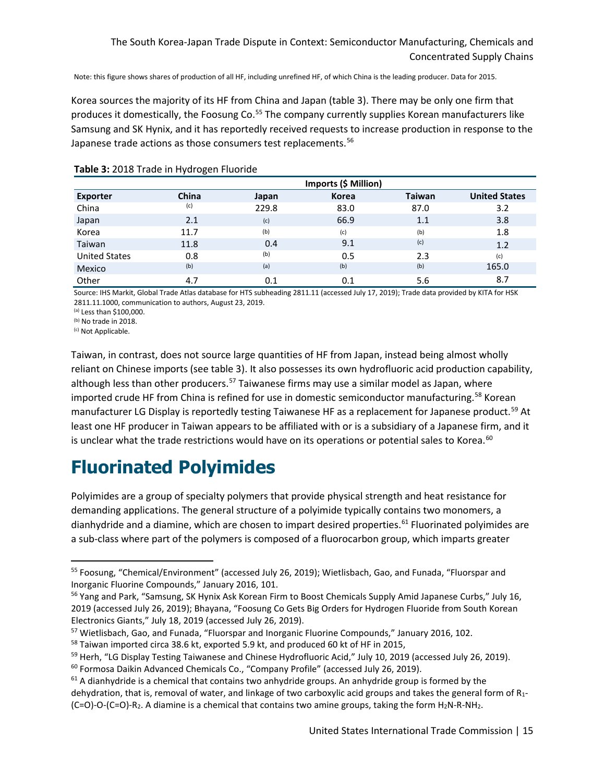Note: this figure shows shares of production of all HF, including unrefined HF, of which China is the leading producer. Data for 2015.

Korea sources the majority of its HF from China and Japan (table 3). There may be only one firm that produces it domestically, the Foosung Co.<sup>[55](#page-16-0)</sup> The company currently supplies Korean manufacturers like Samsung and SK Hynix, and it has reportedly received requests to increase production in response to the Japanese trade actions as those consumers test replacements.<sup>[56](#page-16-1)</sup>

|                      | Imports (\$ Million) |                 |               |               |                      |
|----------------------|----------------------|-----------------|---------------|---------------|----------------------|
| <b>Exporter</b>      | <b>China</b>         | Japan           | <b>Korea</b>  | <b>Taiwan</b> | <b>United States</b> |
| China                | (c)                  | 229.8           | 83.0          | 87.0          | 3.2                  |
| Japan                | 2.1                  | (c)             | 66.9          | 1.1           | 3.8                  |
| Korea                | 11.7                 | (b)             | (c)           | (b)           | 1.8                  |
| Taiwan               | 11.8                 | 0.4             | 9.1           | (c)           | 1.2                  |
| <b>United States</b> | 0.8                  | (b)             | 0.5           | 2.3           | (c)                  |
| Mexico               | (b)                  | (a)             | (b)           | (b)           | 165.0                |
| Other                | 4.7                  | 0.1<br>$\cdots$ | 0.1<br>.<br>. | 5.6<br>.      | 8.7                  |

#### **Table 3** 2018 Trade in Hydrogen Fluoride

Source: IHS Markit, Global Trade Atlas database for HTS subheading 2811.11 (accessed July 17, 2019); Trade data provided by KITA for HSK 2811.11.1000, communication to authors, August 23, 2019.

(a) Less than \$100,000.

(b) No trade in 2018.

(c) Not Applicable.

Taiwan, in contrast, does not source large quantities of HF from Japan, instead being almost wholly reliant on Chinese imports (see table 3). It also possesses its own hydrofluoric acid production capability, although less than other producers.<sup>[57](#page-16-2)</sup> Taiwanese firms may use a similar model as Japan, where imported crude HF from China is refined for use in domestic semiconductor manufacturing.<sup>[58](#page-16-3)</sup> Korean manufacturer LG Display is reportedly testing Taiwanese HF as a replacement for Japanese product.<sup>[59](#page-16-4)</sup> At least one HF producer in Taiwan appears to be affiliated with or is a subsidiary of a Japanese firm, and it is unclear what the trade restrictions would have on its operations or potential sales to Korea.<sup>[60](#page-16-5)</sup>

### **Fluorinated Polyimides**

Polyimides are a group of specialty polymers that provide physical strength and heat resistance for demanding applications. The general structure of a polyimide typically contains two monomers, a dianhydride and a diamine, which are chosen to impart desired properties.<sup>[61](#page-16-6)</sup> Fluorinated polyimides are a sub-class where part of the polymers is composed of a fluorocarbon group, which imparts greater

<span id="page-16-0"></span><sup>55</sup> Foosung, "Chemical/Environment" (accessed July 26, 2019); Wietlisbach, Gao, and Funada, "Fluorspar and Inorganic Fluorine Compounds," January 2016, 101.

<span id="page-16-1"></span><sup>&</sup>lt;sup>56</sup> Yang and Park, "Samsung, SK Hynix Ask Korean Firm to Boost Chemicals Supply Amid Japanese Curbs," July 16, 2019 (accessed July 26, 2019); Bhayana, "Foosung Co Gets Big Orders for Hydrogen Fluoride from South Korean Electronics Giants," July 18, 2019 (accessed July 26, 2019).

<span id="page-16-2"></span><sup>57</sup> Wietlisbach, Gao, and Funada, "Fluorspar and Inorganic Fluorine Compounds," January 2016, 102.

<span id="page-16-3"></span><sup>&</sup>lt;sup>58</sup> Taiwan imported circa 38.6 kt, exported 5.9 kt, and produced 60 kt of HF in 2015,

<span id="page-16-4"></span><sup>&</sup>lt;sup>59</sup> Herh, "LG Display Testing Taiwanese and Chinese Hydrofluoric Acid," July 10, 2019 (accessed July 26, 2019).

<span id="page-16-5"></span><sup>60</sup> Formosa Daikin Advanced Chemicals Co., "Company Profile" (accessed July 26, 2019).

<span id="page-16-6"></span> $61$  A dianhydride is a chemical that contains two anhydride groups. An anhydride group is formed by the dehydration, that is, removal of water, and linkage of two carboxylic acid groups and takes the general form of R1-  $(C=O)-O-(C=O)-R<sub>2</sub>$ . A diamine is a chemical that contains two amine groups, taking the form H<sub>2</sub>N-R-NH<sub>2</sub>.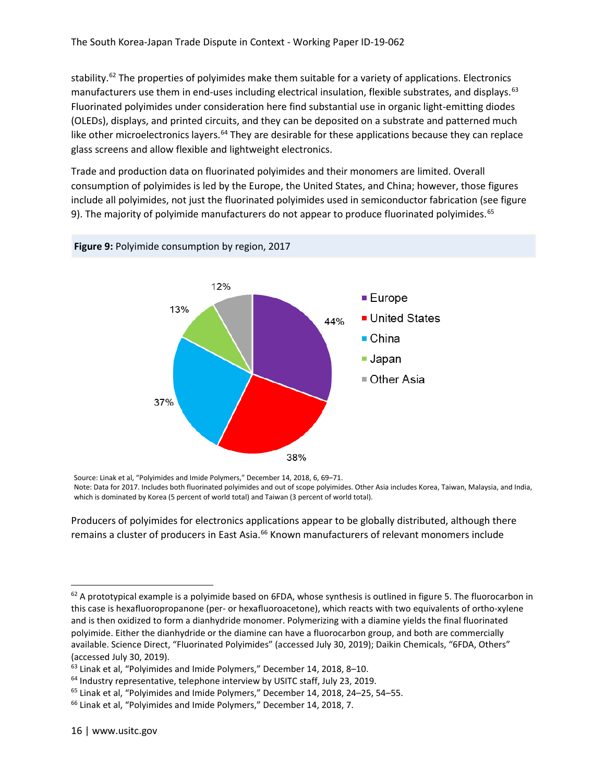stability.<sup>[62](#page-17-0)</sup> The properties of polyimides make them suitable for a variety of applications. Electronics manufacturers use them in end-uses including electrical insulation, flexible substrates, and displays.<sup>[63](#page-17-1)</sup> Fluorinated polyimides under consideration here find substantial use in organic light-emitting diodes (OLEDs), displays, and printed circuits, and they can be deposited on a substrate and patterned much like other microelectronics layers.<sup>[64](#page-17-2)</sup> They are desirable for these applications because they can replace glass screens and allow flexible and lightweight electronics.

Trade and production data on fluorinated polyimides and their monomers are limited. Overall consumption of polyimides is led by the Europe, the United States, and China; however, those figures include all polyimides, not just the fluorinated polyimides used in semiconductor fabrication (see figure 9). The majority of polyimide manufacturers do not appear to produce fluorinated polyimides.<sup>[65](#page-17-3)</sup>



Source: Linak et al, "Polyimides and Imide Polymers," December 14, 2018, 6, 69–71. Note: Data for 2017. Includes both fluorinated polyimides and out of scope polyimides. Other Asia includes Korea, Taiwan, Malaysia, and India, which is dominated by Korea (5 percent of world total) and Taiwan (3 percent of world total).

Producers of polyimides for electronics applications appear to be globally distributed, although there remains a cluster of producers in East Asia.<sup>[66](#page-17-4)</sup> Known manufacturers of relevant monomers include

<span id="page-17-0"></span> $62$  A prototypical example is a polyimide based on 6FDA, whose synthesis is outlined in figure 5. The fluorocarbon in this case is hexafluoropropanone (per- or hexafluoroacetone), which reacts with two equivalents of ortho-xylene and is then oxidized to form a dianhydride monomer. Polymerizing with a diamine yields the final fluorinated polyimide. Either the dianhydride or the diamine can have a fluorocarbon group, and both are commercially available. Science Direct, "Fluorinated Polyimides" (accessed July 30, 2019); Daikin Chemicals, "6FDA, Others" (accessed July 30, 2019).

<span id="page-17-1"></span><sup>63</sup> Linak et al, "Polyimides and Imide Polymers," December 14, 2018, 8–10.

<span id="page-17-2"></span><sup>&</sup>lt;sup>64</sup> Industry representative, telephone interview by USITC staff, July 23, 2019.

<span id="page-17-3"></span><sup>65</sup> Linak et al, "Polyimides and Imide Polymers," December 14, 2018, 24–25, 54–55.

<span id="page-17-4"></span><sup>&</sup>lt;sup>66</sup> Linak et al, "Polyimides and Imide Polymers," December 14, 2018, 7.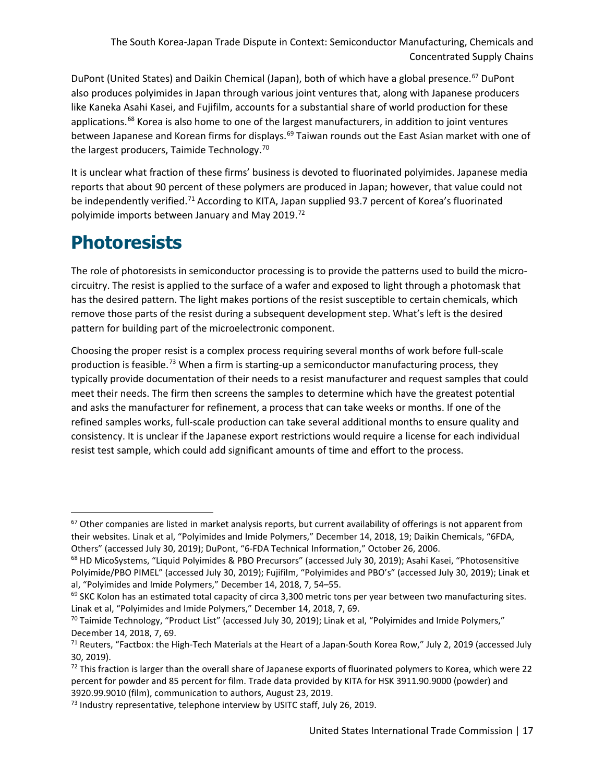DuPont (United States) and Daikin Chemical (Japan), both of which have a global presence.<sup>[67](#page-18-0)</sup> DuPont also produces polyimides in Japan through various joint ventures that, along with Japanese producers like Kaneka Asahi Kasei, and Fujifilm, accounts for a substantial share of world production for these applications.<sup>[68](#page-18-1)</sup> Korea is also home to one of the largest manufacturers, in addition to joint ventures between Japanese and Korean firms for displays.<sup>[69](#page-18-2)</sup> Taiwan rounds out the East Asian market with one of the largest producers, Taimide Technology.<sup>[70](#page-18-3)</sup>

It is unclear what fraction of these firms' business is devoted to fluorinated polyimides. Japanese media reports that about 90 percent of these polymers are produced in Japan; however, that value could not be independently verified.<sup>[71](#page-18-4)</sup> According to KITA, Japan supplied 93.7 percent of Korea's fluorinated polyimide imports between January and May 2019.[72](#page-18-5)

### **Photoresists**

The role of photoresists in semiconductor processing is to provide the patterns used to build the microcircuitry. The resist is applied to the surface of a wafer and exposed to light through a photomask that has the desired pattern. The light makes portions of the resist susceptible to certain chemicals, which remove those parts of the resist during a subsequent development step. What's left is the desired pattern for building part of the microelectronic component.

Choosing the proper resist is a complex process requiring several months of work before full-scale production is feasible.<sup>[73](#page-18-6)</sup> When a firm is starting-up a semiconductor manufacturing process, they typically provide documentation of their needs to a resist manufacturer and request samples that could meet their needs. The firm then screens the samples to determine which have the greatest potential and asks the manufacturer for refinement, a process that can take weeks or months. If one of the refined samples works, full-scale production can take several additional months to ensure quality and consistency. It is unclear if the Japanese export restrictions would require a license for each individual resist test sample, which could add significant amounts of time and effort to the process.

<span id="page-18-0"></span> $67$  Other companies are listed in market analysis reports, but current availability of offerings is not apparent from their websites. Linak et al, "Polyimides and Imide Polymers," December 14, 2018, 19; Daikin Chemicals, "6FDA, Others" (accessed July 30, 2019); DuPont, "6-FDA Technical Information," October 26, 2006.

<span id="page-18-1"></span><sup>&</sup>lt;sup>68</sup> HD MicoSystems, "Liquid Polyimides & PBO Precursors" (accessed July 30, 2019); Asahi Kasei, "Photosensitive Polyimide/PBO PIMEL" (accessed July 30, 2019); Fujifilm, "Polyimides and PBO's" (accessed July 30, 2019); Linak et al, "Polyimides and Imide Polymers," December 14, 2018, 7, 54–55.

<span id="page-18-2"></span> $69$  SKC Kolon has an estimated total capacity of circa 3,300 metric tons per year between two manufacturing sites. Linak et al, "Polyimides and Imide Polymers," December 14, 2018, 7, 69.

<span id="page-18-3"></span> $70$  Taimide Technology, "Product List" (accessed July 30, 2019); Linak et al, "Polyimides and Imide Polymers," December 14, 2018, 7, 69.

<span id="page-18-4"></span> $71$  Reuters, "Factbox: the High-Tech Materials at the Heart of a Japan-South Korea Row," July 2, 2019 (accessed July 30, 2019).

<span id="page-18-5"></span> $72$  This fraction is larger than the overall share of Japanese exports of fluorinated polymers to Korea, which were 22 percent for powder and 85 percent for film. Trade data provided by KITA for HSK 3911.90.9000 (powder) and 3920.99.9010 (film), communication to authors, August 23, 2019.

<span id="page-18-6"></span><sup>&</sup>lt;sup>73</sup> Industry representative, telephone interview by USITC staff, July 26, 2019.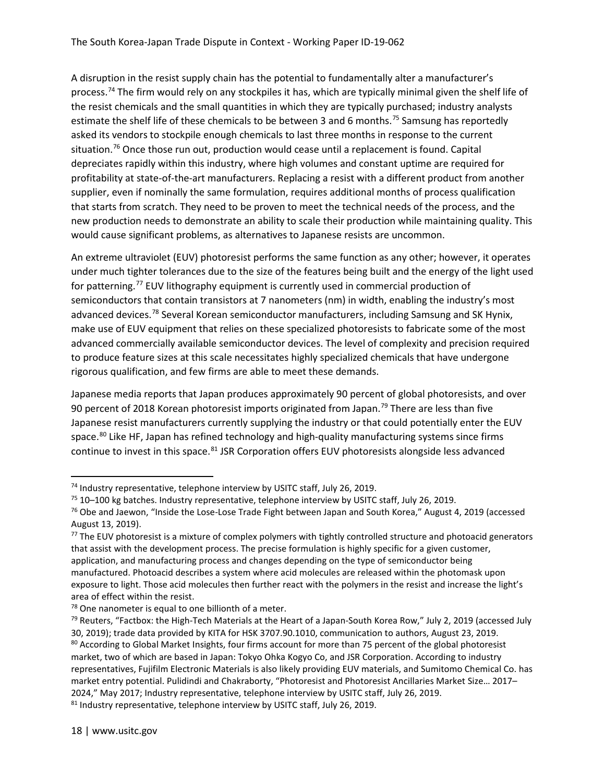A disruption in the resist supply chain has the potential to fundamentally alter a manufacturer's process.<sup>74</sup> The firm would rely on any stockpiles it has, which are typically minimal given the shelf life of the resist chemicals and the small quantities in which they are typically purchased; industry analysts estimate the shelf life of these chemicals to be between 3 and 6 months.<sup>[75](#page-19-1)</sup> Samsung has reportedly asked its vendors to stockpile enough chemicals to last three months in response to the current situation.<sup>[76](#page-19-2)</sup> Once those run out, production would cease until a replacement is found. Capital depreciates rapidly within this industry, where high volumes and constant uptime are required for profitability at state-of-the-art manufacturers. Replacing a resist with a different product from another supplier, even if nominally the same formulation, requires additional months of process qualification that starts from scratch. They need to be proven to meet the technical needs of the process, and the new production needs to demonstrate an ability to scale their production while maintaining quality. This would cause significant problems, as alternatives to Japanese resists are uncommon.

An extreme ultraviolet (EUV) photoresist performs the same function as any other; however, it operates under much tighter tolerances due to the size of the features being built and the energy of the light used for patterning.<sup>[77](#page-19-3)</sup> EUV lithography equipment is currently used in commercial production of semiconductors that contain transistors at 7 nanometers (nm) in width, enabling the industry's most advanced devices.<sup>[78](#page-19-4)</sup> Several Korean semiconductor manufacturers, including Samsung and SK Hynix, make use of EUV equipment that relies on these specialized photoresists to fabricate some of the most advanced commercially available semiconductor devices. The level of complexity and precision required to produce feature sizes at this scale necessitates highly specialized chemicals that have undergone rigorous qualification, and few firms are able to meet these demands.

Japanese media reports that Japan produces approximately 90 percent of global photoresists, and over 90 percent of 2018 Korean photoresist imports originated from Japan.<sup>[79](#page-19-5)</sup> There are less than five Japanese resist manufacturers currently supplying the industry or that could potentially enter the EUV space. $80$  Like HF, Japan has refined technology and high-quality manufacturing systems since firms continue to invest in this space.<sup>[81](#page-19-7)</sup> JSR Corporation offers EUV photoresists alongside less advanced

<span id="page-19-0"></span><sup>&</sup>lt;sup>74</sup> Industry representative, telephone interview by USITC staff, July 26, 2019.

<span id="page-19-1"></span> $75$  10–100 kg batches. Industry representative, telephone interview by USITC staff, July 26, 2019.

<span id="page-19-2"></span> $76$  Obe and Jaewon, "Inside the Lose-Lose Trade Fight between Japan and South Korea," August 4, 2019 (accessed August 13, 2019).

<span id="page-19-3"></span> $77$  The EUV photoresist is a mixture of complex polymers with tightly controlled structure and photoacid generators that assist with the development process. The precise formulation is highly specific for a given customer, application, and manufacturing process and changes depending on the type of semiconductor being manufactured. Photoacid describes a system where acid molecules are released within the photomask upon exposure to light. Those acid molecules then further react with the polymers in the resist and increase the light's area of effect within the resist.

<span id="page-19-4"></span><sup>&</sup>lt;sup>78</sup> One nanometer is equal to one billionth of a meter.

<span id="page-19-7"></span><span id="page-19-6"></span><span id="page-19-5"></span> $79$  Reuters, "Factbox: the High-Tech Materials at the Heart of a Japan-South Korea Row," July 2, 2019 (accessed July 30, 2019); trade data provided by KITA for HSK 3707.90.1010, communication to authors, August 23, 2019. 80 According to Global Market Insights, four firms account for more than 75 percent of the global photoresist market, two of which are based in Japan: Tokyo Ohka Kogyo Co, and JSR Corporation. According to industry representatives, Fujifilm Electronic Materials is also likely providing EUV materials, and Sumitomo Chemical Co. has market entry potential. Pulidindi and Chakraborty, "Photoresist and Photoresist Ancillaries Market Size… 2017– 2024," May 2017; Industry representative, telephone interview by USITC staff, July 26, 2019.  $81$  Industry representative, telephone interview by USITC staff, July 26, 2019.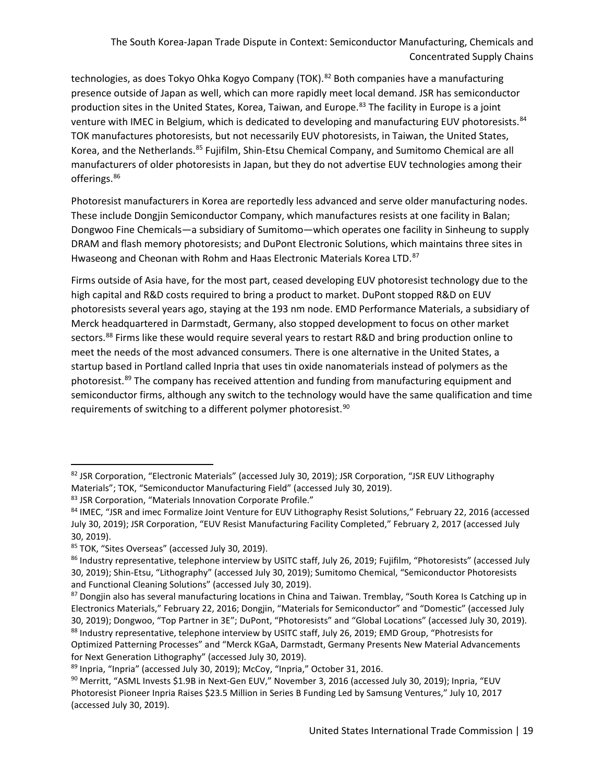technologies, as does Tokyo Ohka Kogyo Company (TOK).<sup>[82](#page-20-0)</sup> Both companies have a manufacturing presence outside of Japan as well, which can more rapidly meet local demand. JSR has semiconductor production sites in the United States, Korea, Taiwan, and Europe.<sup>[83](#page-20-1)</sup> The facility in Europe is a joint venture with IMEC in Belgium, which is dedicated to developing and manufacturing EUV photoresists.<sup>[84](#page-20-2)</sup> TOK manufactures photoresists, but not necessarily EUV photoresists, in Taiwan, the United States, Korea, and the Netherlands.[85](#page-20-3) Fujifilm, Shin-Etsu Chemical Company, and Sumitomo Chemical are all manufacturers of older photoresists in Japan, but they do not advertise EUV technologies among their offerings.<sup>[86](#page-20-4)</sup>

Photoresist manufacturers in Korea are reportedly less advanced and serve older manufacturing nodes. These include Dongjin Semiconductor Company, which manufactures resists at one facility in Balan; Dongwoo Fine Chemicals—a subsidiary of Sumitomo—which operates one facility in Sinheung to supply DRAM and flash memory photoresists; and DuPont Electronic Solutions, which maintains three sites in Hwaseong and Cheonan with Rohm and Haas Electronic Materials Korea LTD.<sup>[87](#page-20-5)</sup>

Firms outside of Asia have, for the most part, ceased developing EUV photoresist technology due to the high capital and R&D costs required to bring a product to market. DuPont stopped R&D on EUV photoresists several years ago, staying at the 193 nm node. EMD Performance Materials, a subsidiary of Merck headquartered in Darmstadt, Germany, also stopped development to focus on other market sectors.<sup>[88](#page-20-6)</sup> Firms like these would require several years to restart R&D and bring production online to meet the needs of the most advanced consumers. There is one alternative in the United States, a startup based in Portland called Inpria that uses tin oxide nanomaterials instead of polymers as the photoresist.<sup>[89](#page-20-7)</sup> The company has received attention and funding from manufacturing equipment and semiconductor firms, although any switch to the technology would have the same qualification and time requirements of switching to a different polymer photoresist.<sup>[90](#page-20-8)</sup>

<span id="page-20-0"></span><sup>82</sup> JSR Corporation, "Electronic Materials" (accessed July 30, 2019); JSR Corporation, "JSR EUV Lithography Materials"; TOK, "Semiconductor Manufacturing Field" (accessed July 30, 2019).

<span id="page-20-1"></span><sup>83</sup> JSR Corporation, "Materials Innovation Corporate Profile."

<span id="page-20-2"></span><sup>84</sup> IMEC, "JSR and imec Formalize Joint Venture for EUV Lithography Resist Solutions," February 22, 2016 (accessed July 30, 2019); JSR Corporation, "EUV Resist Manufacturing Facility Completed," February 2, 2017 (accessed July 30, 2019).

<span id="page-20-3"></span><sup>85</sup> TOK, "Sites Overseas" (accessed July 30, 2019).

<span id="page-20-4"></span><sup>86</sup> Industry representative, telephone interview by USITC staff, July 26, 2019; Fujifilm, "Photoresists" (accessed July 30, 2019); Shin-Etsu, "Lithography" (accessed July 30, 2019); Sumitomo Chemical, "Semiconductor Photoresists and Functional Cleaning Solutions" (accessed July 30, 2019).

<span id="page-20-6"></span><span id="page-20-5"></span><sup>87</sup> Dongjin also has several manufacturing locations in China and Taiwan. Tremblay, "South Korea Is Catching up in Electronics Materials," February 22, 2016; Dongjin, "Materials for Semiconductor" and "Domestic" (accessed July 30, 2019); Dongwoo, "Top Partner in 3E"; DuPont, "Photoresists" and "Global Locations" (accessed July 30, 2019). 88 Industry representative, telephone interview by USITC staff, July 26, 2019; EMD Group, "Photresists for Optimized Patterning Processes" and "Merck KGaA, Darmstadt, Germany Presents New Material Advancements for Next Generation Lithography" (accessed July 30, 2019).

<span id="page-20-7"></span><sup>89</sup> Inpria, "Inpria" (accessed July 30, 2019); McCoy, "Inpria," October 31, 2016.

<span id="page-20-8"></span><sup>90</sup> Merritt, "ASML Invests \$1.9B in Next-Gen EUV," November 3, 2016 (accessed July 30, 2019); Inpria, "EUV Photoresist Pioneer Inpria Raises \$23.5 Million in Series B Funding Led by Samsung Ventures," July 10, 2017 (accessed July 30, 2019).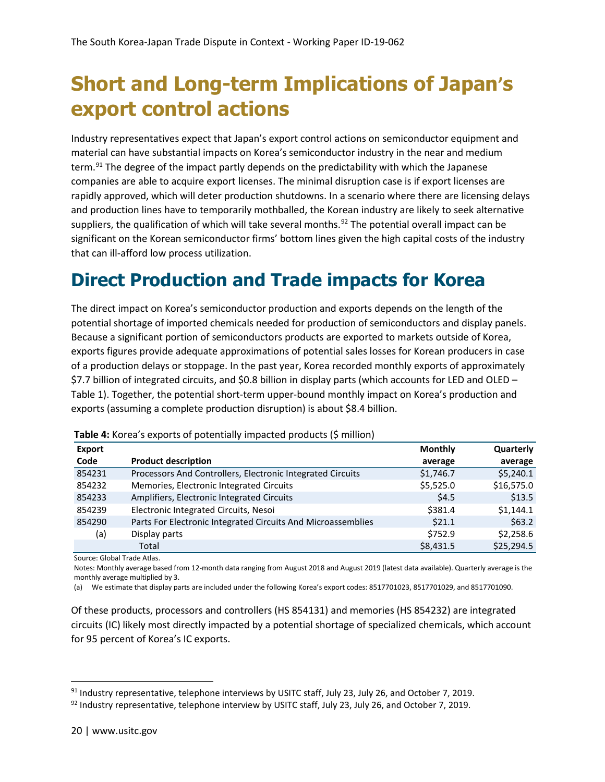# **Short and Long-term Implications of Japan's export control actions**

Industry representatives expect that Japan's export control actions on semiconductor equipment and material can have substantial impacts on Korea's semiconductor industry in the near and medium term.<sup>[91](#page-21-0)</sup> The degree of the impact partly depends on the predictability with which the Japanese companies are able to acquire export licenses. The minimal disruption case is if export licenses are rapidly approved, which will deter production shutdowns. In a scenario where there are licensing delays and production lines have to temporarily mothballed, the Korean industry are likely to seek alternative suppliers, the qualification of which will take several months.<sup>[92](#page-21-1)</sup> The potential overall impact can be significant on the Korean semiconductor firms' bottom lines given the high capital costs of the industry that can ill-afford low process utilization.

### **Direct Production and Trade impacts for Korea**

The direct impact on Korea's semiconductor production and exports depends on the length of the potential shortage of imported chemicals needed for production of semiconductors and display panels. Because a significant portion of semiconductors products are exported to markets outside of Korea, exports figures provide adequate approximations of potential sales losses for Korean producers in case of a production delays or stoppage. In the past year, Korea recorded monthly exports of approximately \$7.7 billion of integrated circuits, and \$0.8 billion in display parts (which accounts for LED and OLED – Table 1). Together, the potential short-term upper-bound monthly impact on Korea's production and exports (assuming a complete production disruption) is about \$8.4 billion.

| <b>Export</b> |                                                              | <b>Monthly</b> | Quarterly  |
|---------------|--------------------------------------------------------------|----------------|------------|
| Code          | <b>Product description</b>                                   | average        | average    |
| 854231        | Processors And Controllers, Electronic Integrated Circuits   | \$1,746.7      | \$5,240.1  |
| 854232        | Memories, Electronic Integrated Circuits                     | \$5,525.0      | \$16,575.0 |
| 854233        | Amplifiers, Electronic Integrated Circuits                   | \$4.5          | \$13.5     |
| 854239        | Electronic Integrated Circuits, Nesoi                        | \$381.4        | \$1,144.1  |
| 854290        | Parts For Electronic Integrated Circuits And Microassemblies | \$21.1         | \$63.2     |
| (a)           | Display parts                                                | \$752.9        | \$2,258.6  |
|               | Total                                                        | \$8,431.5      | \$25,294.5 |

**Table 4** Korea's exports of potentially impacted products (\$ million)

Source: Global Trade Atlas.

Notes: Monthly average based from 12-month data ranging from August 2018 and August 2019 (latest data available). Quarterly average is the monthly average multiplied by 3.

(a) We estimate that display parts are included under the following Korea's export codes: 8517701023, 8517701029, and 8517701090.

Of these products, processors and controllers (HS 854131) and memories (HS 854232) are integrated circuits (IC) likely most directly impacted by a potential shortage of specialized chemicals, which account for 95 percent of Korea's IC exports.

<span id="page-21-0"></span><sup>91</sup> Industry representative, telephone interviews by USITC staff, July 23, July 26, and October 7, 2019.

<span id="page-21-1"></span> $92$  Industry representative, telephone interview by USITC staff, July 23, July 26, and October 7, 2019.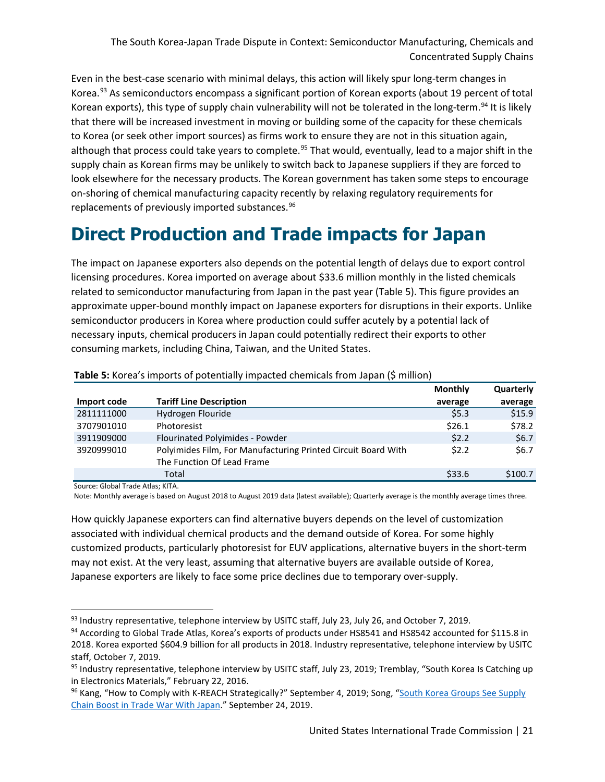Even in the best-case scenario with minimal delays, this action will likely spur long-term changes in Korea.<sup>[93](#page-22-0)</sup> As semiconductors encompass a significant portion of Korean exports (about 19 percent of total Korean exports), this type of supply chain vulnerability will not be tolerated in the long-term.<sup>[94](#page-22-1)</sup> It is likely that there will be increased investment in moving or building some of the capacity for these chemicals to Korea (or seek other import sources) as firms work to ensure they are not in this situation again, although that process could take years to complete.<sup>[95](#page-22-2)</sup> That would, eventually, lead to a major shift in the supply chain as Korean firms may be unlikely to switch back to Japanese suppliers if they are forced to look elsewhere for the necessary products. The Korean government has taken some steps to encourage on-shoring of chemical manufacturing capacity recently by relaxing regulatory requirements for replacements of previously imported substances.<sup>[96](#page-22-3)</sup>

### **Direct Production and Trade impacts for Japan**

The impact on Japanese exporters also depends on the potential length of delays due to export control licensing procedures. Korea imported on average about \$33.6 million monthly in the listed chemicals related to semiconductor manufacturing from Japan in the past year (Table 5). This figure provides an approximate upper-bound monthly impact on Japanese exporters for disruptions in their exports. Unlike semiconductor producers in Korea where production could suffer acutely by a potential lack of necessary inputs, chemical producers in Japan could potentially redirect their exports to other consuming markets, including China, Taiwan, and the United States.

|             |                                                                                             | <b>Monthly</b> | Quarterly |
|-------------|---------------------------------------------------------------------------------------------|----------------|-----------|
| Import code | <b>Tariff Line Description</b>                                                              | average        | average   |
| 2811111000  | Hydrogen Flouride                                                                           | \$5.3          | \$15.9    |
| 3707901010  | Photoresist                                                                                 | \$26.1         | \$78.2    |
| 3911909000  | Flourinated Polyimides - Powder                                                             | \$2.2          | \$6.7     |
| 3920999010  | Polyimides Film, For Manufacturing Printed Circuit Board With<br>The Function Of Lead Frame | \$2.2          | \$6.7     |
|             | Total                                                                                       | \$33.6         | \$100.7   |

**Table 5** Korea's imports of potentially impacted chemicals from Japan (\$ million)

Source: Global Trade Atlas; KITA.

Note: Monthly average is based on August 2018 to August 2019 data (latest available); Quarterly average is the monthly average times three.

How quickly Japanese exporters can find alternative buyers depends on the level of customization associated with individual chemical products and the demand outside of Korea. For some highly customized products, particularly photoresist for EUV applications, alternative buyers in the short-term may not exist. At the very least, assuming that alternative buyers are available outside of Korea, Japanese exporters are likely to face some price declines due to temporary over-supply.

<span id="page-22-0"></span><sup>93</sup> Industry representative, telephone interview by USITC staff, July 23, July 26, and October 7, 2019.

<span id="page-22-1"></span><sup>94</sup> According to Global Trade Atlas, Korea's exports of products under HS8541 and HS8542 accounted for \$115.8 in 2018. Korea exported \$604.9 billion for all products in 2018. Industry representative, telephone interview by USITC staff, October 7, 2019.

<span id="page-22-2"></span><sup>&</sup>lt;sup>95</sup> Industry representative, telephone interview by USITC staff, July 23, 2019; Tremblay, "South Korea Is Catching up in Electronics Materials," February 22, 2016.

<span id="page-22-3"></span><sup>&</sup>lt;sup>96</sup> Kang, "How to Comply with K-REACH Strategically?" September 4, 2019; Song, "South Korea Groups See Supply [Chain Boost in Trade War With Japan.](https://www.ft.com/content/644ecb2e-ddad-11e9-9743-db5a370481bc)" September 24, 2019.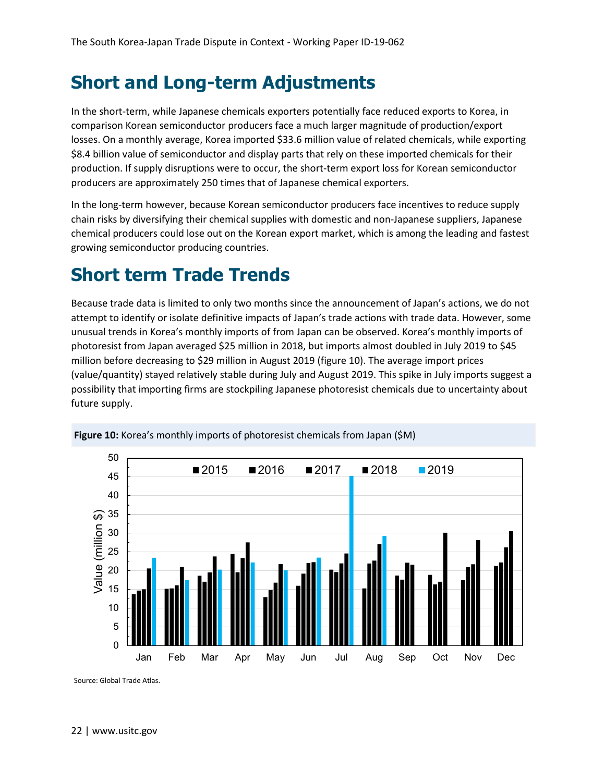### **Short and Long-term Adjustments**

In the short-term, while Japanese chemicals exporters potentially face reduced exports to Korea, in comparison Korean semiconductor producers face a much larger magnitude of production/export losses. On a monthly average, Korea imported \$33.6 million value of related chemicals, while exporting \$8.4 billion value of semiconductor and display parts that rely on these imported chemicals for their production. If supply disruptions were to occur, the short-term export loss for Korean semiconductor producers are approximately 250 times that of Japanese chemical exporters.

In the long-term however, because Korean semiconductor producers face incentives to reduce supply chain risks by diversifying their chemical supplies with domestic and non-Japanese suppliers, Japanese chemical producers could lose out on the Korean export market, which is among the leading and fastest growing semiconductor producing countries.

### **Short term Trade Trends**

Because trade data is limited to only two months since the announcement of Japan's actions, we do not attempt to identify or isolate definitive impacts of Japan's trade actions with trade data. However, some unusual trends in Korea's monthly imports of from Japan can be observed. Korea's monthly imports of photoresist from Japan averaged \$25 million in 2018, but imports almost doubled in July 2019 to \$45 million before decreasing to \$29 million in August 2019 (figure 10). The average import prices (value/quantity) stayed relatively stable during July and August 2019. This spike in July imports suggest a possibility that importing firms are stockpiling Japanese photoresist chemicals due to uncertainty about future supply.



**Figure 10** Korea's monthly imports of photoresist chemicals from Japan (\$M)

Source: Global Trade Atlas.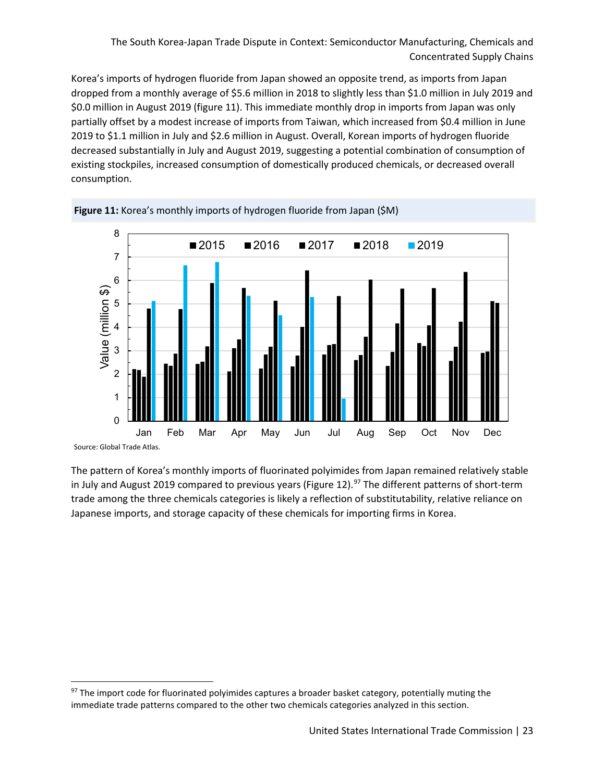The South Korea-Japan Trade Dispute in Context: Semiconductor Manufacturing, Chemicals and Concentrated Supply Chains

Korea's imports of hydrogen fluoride from Japan showed an opposite trend, as imports from Japan dropped from a monthly average of \$5.6 million in 2018 to slightly less than \$1.0 million in July 2019 and \$0.0 million in August 2019 (figure 11). This immediate monthly drop in imports from Japan was only partially offset by a modest increase of imports from Taiwan, which increased from \$0.4 million in June 2019 to \$1.1 million in July and \$2.6 million in August. Overall, Korean imports of hydrogen fluoride decreased substantially in July and August 2019, suggesting a potential combination of consumption of existing stockpiles, increased consumption of domestically produced chemicals, or decreased overall consumption.





Source: Global Trade Atlas.

The pattern of Korea's monthly imports of fluorinated polyimides from Japan remained relatively stable in July and August 2019 compared to previous years (Figure 12).<sup>[97](#page-24-0)</sup> The different patterns of short-term trade among the three chemicals categories is likely a reflection of substitutability, relative reliance on Japanese imports, and storage capacity of these chemicals for importing firms in Korea.

<span id="page-24-0"></span><sup>&</sup>lt;sup>97</sup> The import code for fluorinated polyimides captures a broader basket category, potentially muting the immediate trade patterns compared to the other two chemicals categories analyzed in this section.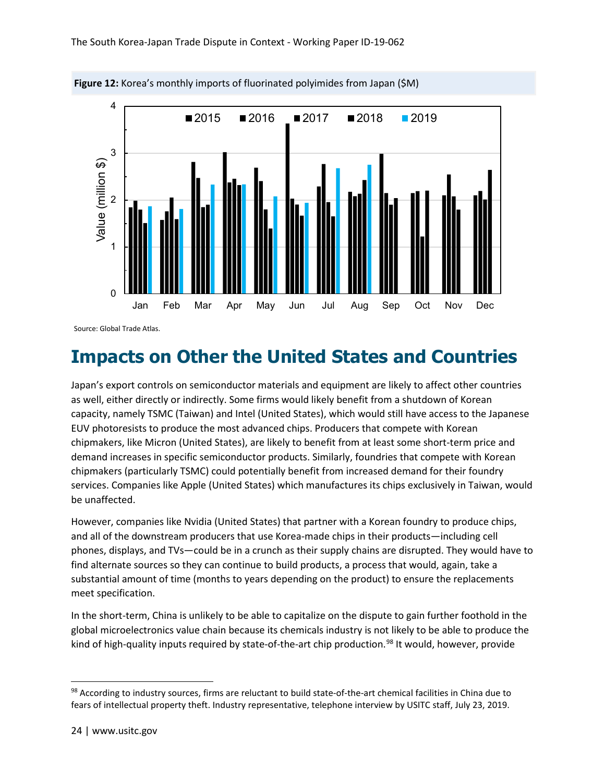

**Figure 12** Korea's monthly imports of fluorinated polyimides from Japan (\$M)

Source: Global Trade Atlas.

### **Impacts on Other the United States and Countries**

Japan's export controls on semiconductor materials and equipment are likely to affect other countries as well, either directly or indirectly. Some firms would likely benefit from a shutdown of Korean capacity, namely TSMC (Taiwan) and Intel (United States), which would still have access to the Japanese EUV photoresists to produce the most advanced chips. Producers that compete with Korean chipmakers, like Micron (United States), are likely to benefit from at least some short-term price and demand increases in specific semiconductor products. Similarly, foundries that compete with Korean chipmakers (particularly TSMC) could potentially benefit from increased demand for their foundry services. Companies like Apple (United States) which manufactures its chips exclusively in Taiwan, would be unaffected.

However, companies like Nvidia (United States) that partner with a Korean foundry to produce chips, and all of the downstream producers that use Korea-made chips in their products—including cell phones, displays, and TVs—could be in a crunch as their supply chains are disrupted. They would have to find alternate sources so they can continue to build products, a process that would, again, take a substantial amount of time (months to years depending on the product) to ensure the replacements meet specification.

In the short-term, China is unlikely to be able to capitalize on the dispute to gain further foothold in the global microelectronics value chain because its chemicals industry is not likely to be able to produce the kind of high-quality inputs required by state-of-the-art chip production.<sup>[98](#page-25-0)</sup> It would, however, provide

<span id="page-25-0"></span><sup>98</sup> According to industry sources, firms are reluctant to build state-of-the-art chemical facilities in China due to fears of intellectual property theft. Industry representative, telephone interview by USITC staff, July 23, 2019.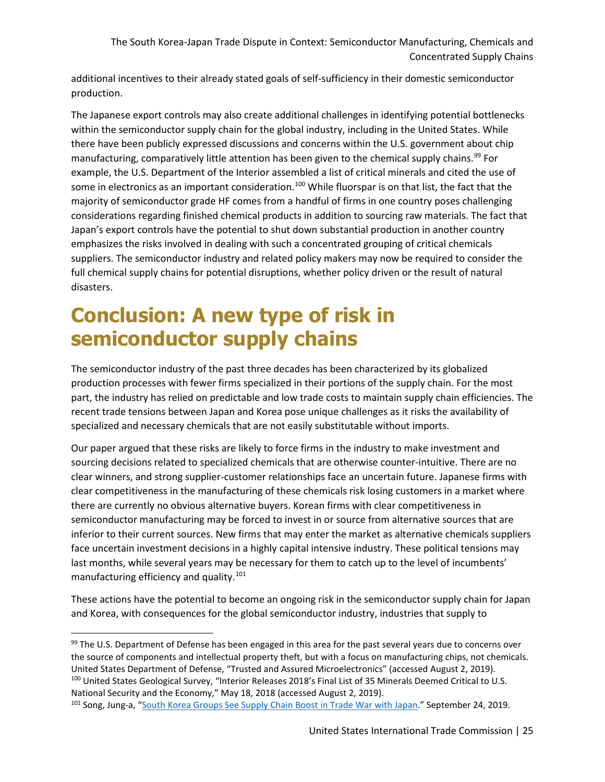additional incentives to their already stated goals of self-sufficiency in their domestic semiconductor production.

The Japanese export controls may also create additional challenges in identifying potential bottlenecks within the semiconductor supply chain for the global industry, including in the United States. While there have been publicly expressed discussions and concerns within the U.S. government about chip manufacturing, comparatively little attention has been given to the chemical supply chains.<sup>[99](#page-26-0)</sup> For example, the U.S. Department of the Interior assembled a list of critical minerals and cited the use of some in electronics as an important consideration.<sup>[100](#page-26-1)</sup> While fluorspar is on that list, the fact that the majority of semiconductor grade HF comes from a handful of firms in one country poses challenging considerations regarding finished chemical products in addition to sourcing raw materials. The fact that Japan's export controls have the potential to shut down substantial production in another country emphasizes the risks involved in dealing with such a concentrated grouping of critical chemicals suppliers. The semiconductor industry and related policy makers may now be required to consider the full chemical supply chains for potential disruptions, whether policy driven or the result of natural disasters.

# **Conclusion: A new type of risk in semiconductor supply chains**

The semiconductor industry of the past three decades has been characterized by its globalized production processes with fewer firms specialized in their portions of the supply chain. For the most part, the industry has relied on predictable and low trade costs to maintain supply chain efficiencies. The recent trade tensions between Japan and Korea pose unique challenges as it risks the availability of specialized and necessary chemicals that are not easily substitutable without imports.

Our paper argued that these risks are likely to force firms in the industry to make investment and sourcing decisions related to specialized chemicals that are otherwise counter-intuitive. There are no clear winners, and strong supplier-customer relationships face an uncertain future. Japanese firms with clear competitiveness in the manufacturing of these chemicals risk losing customers in a market where there are currently no obvious alternative buyers. Korean firms with clear competitiveness in semiconductor manufacturing may be forced to invest in or source from alternative sources that are inferior to their current sources. New firms that may enter the market as alternative chemicals suppliers face uncertain investment decisions in a highly capital intensive industry. These political tensions may last months, while several years may be necessary for them to catch up to the level of incumbents' manufacturing efficiency and quality.<sup>[101](#page-26-2)</sup>

These actions have the potential to become an ongoing risk in the semiconductor supply chain for Japan and Korea, with consequences for the global semiconductor industry, industries that supply to

<span id="page-26-0"></span> $99$  The U.S. Department of Defense has been engaged in this area for the past several years due to concerns over the source of components and intellectual property theft, but with a focus on manufacturing chips, not chemicals. United States Department of Defense, "Trusted and Assured Microelectronics" (accessed August 2, 2019). 100 United States Geological Survey, "Interior Releases 2018's Final List of 35 Minerals Deemed Critical to U.S. National Security and the Economy," May 18, 2018 (accessed August 2, 2019).

<span id="page-26-2"></span><span id="page-26-1"></span><sup>&</sup>lt;sup>101</sup> Song, Jung-a, ["South Korea Groups See Supply Chain Boost in Trade War with Japan.](https://www.ft.com/content/644ecb2e-ddad-11e9-9743-db5a370481bc)" September 24, 2019.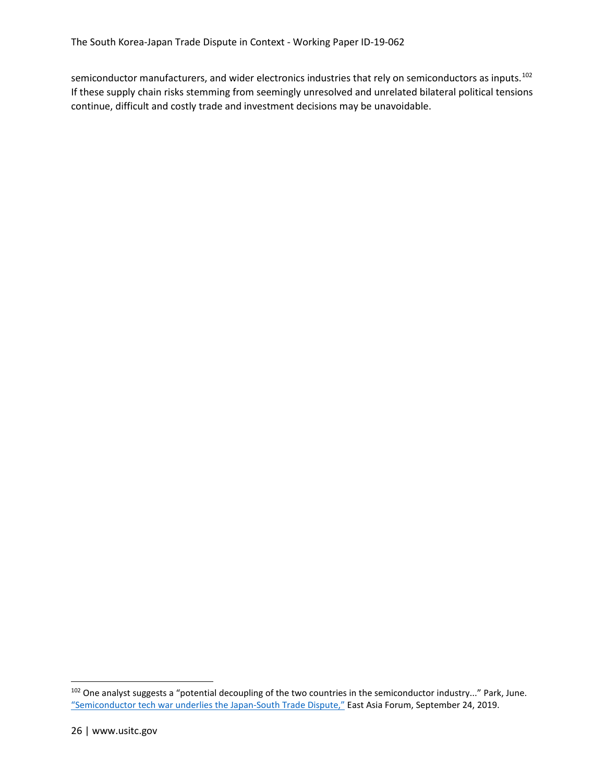semiconductor manufacturers, and wider electronics industries that rely on semiconductors as inputs.<sup>[102](#page-27-0)</sup> If these supply chain risks stemming from seemingly unresolved and unrelated bilateral political tensions continue, difficult and costly trade and investment decisions may be unavoidable.

<span id="page-27-0"></span><sup>&</sup>lt;sup>102</sup> One analyst suggests a "potential decoupling of the two countries in the semiconductor industry..." Park, June. ["Semiconductor tech war underlies the Japan-South Trade Dispute,"](https://www.eastasiaforum.org/2019/09/24/semiconductor-tech-war-underlies-the-japan-south-korea-trade-dispute/) East Asia Forum, September 24, 2019.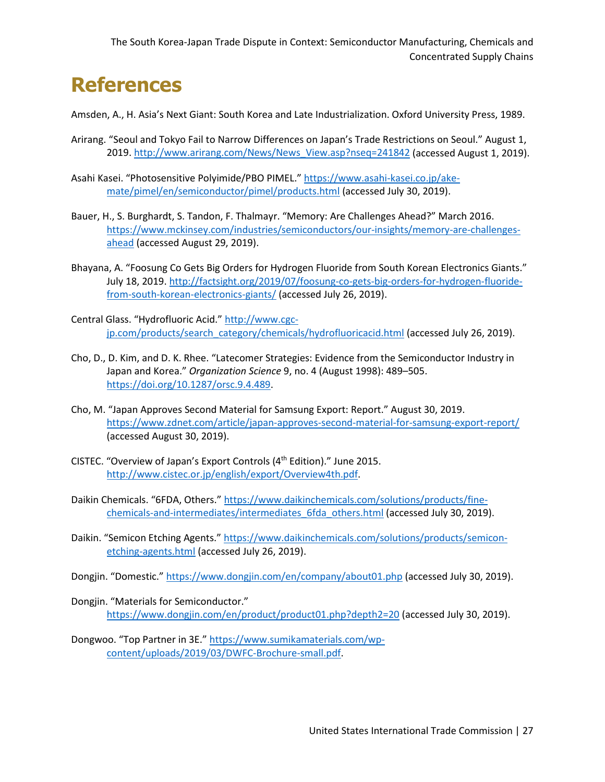# **Bibliography**

Amsden, A., H. Asia's Next Giant: South Korea and Late Industrialization. Oxford University Press, 1989.

- Arirang. "Seoul and Tokyo Fail to Narrow Differences on Japan's Trade Restrictions on Seoul." August 1, 2019. [http://www.arirang.com/News/News\\_View.asp?nseq=241842](http://www.arirang.com/News/News_View.asp?nseq=241842) (accessed August 1, 2019).
- Asahi Kasei. "Photosensitive Polyimide/PBO PIMEL." [https://www.asahi-kasei.co.jp/ake](https://www.asahi-kasei.co.jp/ake-mate/pimel/en/semiconductor/pimel/products.html)[mate/pimel/en/semiconductor/pimel/products.html](https://www.asahi-kasei.co.jp/ake-mate/pimel/en/semiconductor/pimel/products.html) (accessed July 30, 2019).
- Bauer, H., S. Burghardt, S. Tandon, F. Thalmayr. "Memory: Are Challenges Ahead?" March 2016. [https://www.mckinsey.com/industries/semiconductors/our-insights/memory-are-challenges](https://www.mckinsey.com/industries/semiconductors/our-insights/memory-are-challenges-ahead)[ahead](https://www.mckinsey.com/industries/semiconductors/our-insights/memory-are-challenges-ahead) (accessed August 29, 2019).
- Bhayana, A. "Foosung Co Gets Big Orders for Hydrogen Fluoride from South Korean Electronics Giants." July 18, 2019. [http://factsight.org/2019/07/foosung-co-gets-big-orders-for-hydrogen-fluoride](http://factsight.org/2019/07/foosung-co-gets-big-orders-for-hydrogen-fluoride-from-south-korean-electronics-giants/)[from-south-korean-electronics-giants/](http://factsight.org/2019/07/foosung-co-gets-big-orders-for-hydrogen-fluoride-from-south-korean-electronics-giants/) (accessed July 26, 2019).
- Central Glass. "Hydrofluoric Acid.[" http://www.cgc](http://www.cgc-jp.com/products/search_category/chemicals/hydrofluoricacid.html)[jp.com/products/search\\_category/chemicals/hydrofluoricacid.html](http://www.cgc-jp.com/products/search_category/chemicals/hydrofluoricacid.html) (accessed July 26, 2019).
- Cho, D., D. Kim, and D. K. Rhee. "Latecomer Strategies: Evidence from the Semiconductor Industry in Japan and Korea." *Organization Science* 9, no. 4 (August 1998): 489–505. [https://doi.org/10.1287/orsc.9.4.489.](https://doi.org/10.1287/orsc.9.4.489)
- Cho, M. "Japan Approves Second Material for Samsung Export: Report." August 30, 2019. <https://www.zdnet.com/article/japan-approves-second-material-for-samsung-export-report/> (accessed August 30, 2019).
- CISTEC. "Overview of Japan's Export Controls (4<sup>th</sup> Edition)." June 2015. [http://www.cistec.or.jp/english/export/Overview4th.pdf.](http://www.cistec.or.jp/english/export/Overview4th.pdf)
- Daikin Chemicals. "6FDA, Others.[" https://www.daikinchemicals.com/solutions/products/fine](https://www.daikinchemicals.com/solutions/products/fine-chemicals-and-intermediates/intermediates_6fda_others.html)[chemicals-and-intermediates/intermediates\\_6fda\\_others.html](https://www.daikinchemicals.com/solutions/products/fine-chemicals-and-intermediates/intermediates_6fda_others.html) (accessed July 30, 2019).
- Daikin. "Semicon Etching Agents." [https://www.daikinchemicals.com/solutions/products/semicon](https://www.daikinchemicals.com/solutions/products/semicon-etching-agents.html)[etching-agents.html](https://www.daikinchemicals.com/solutions/products/semicon-etching-agents.html) (accessed July 26, 2019).
- Dongjin. "Domestic."<https://www.dongjin.com/en/company/about01.php> (accessed July 30, 2019).
- Dongjin. "Materials for Semiconductor." <https://www.dongjin.com/en/product/product01.php?depth2=20> (accessed July 30, 2019).
- Dongwoo. "Top Partner in 3E." [https://www.sumikamaterials.com/wp](https://www.sumikamaterials.com/wp-content/uploads/2019/03/DWFC-Brochure-small.pdf)[content/uploads/2019/03/DWFC-Brochure-small.pdf.](https://www.sumikamaterials.com/wp-content/uploads/2019/03/DWFC-Brochure-small.pdf)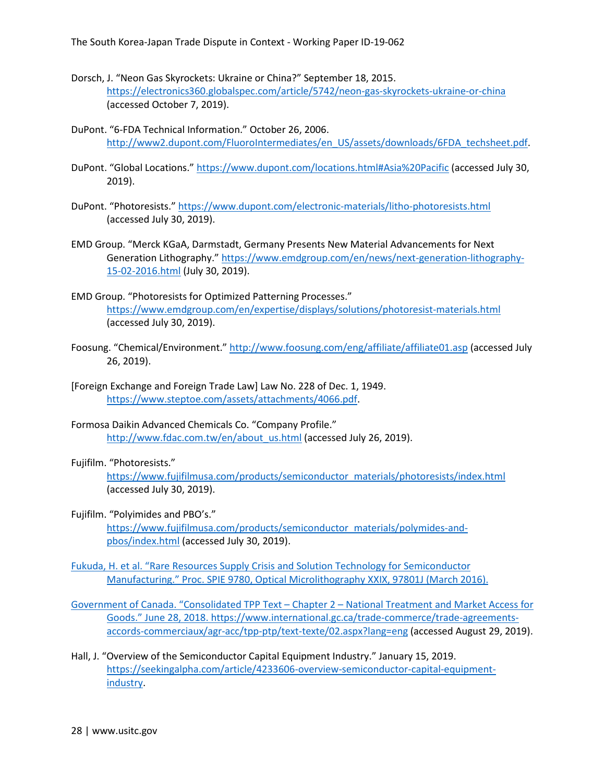The South Korea-Japan Trade Dispute in Context - Working Paper ID-19-062

- Dorsch, J. "Neon Gas Skyrockets: Ukraine or China?" September 18, 2015. <https://electronics360.globalspec.com/article/5742/neon-gas-skyrockets-ukraine-or-china> (accessed October 7, 2019).
- DuPont. "6-FDA Technical Information." October 26, 2006. [http://www2.dupont.com/FluoroIntermediates/en\\_US/assets/downloads/6FDA\\_techsheet.pdf.](http://www2.dupont.com/FluoroIntermediates/en_US/assets/downloads/6FDA_techsheet.pdf)
- DuPont. "Global Locations." [https://www.dupont.com/locations.html#Asia%20Pacific](https://www.dupont.com/locations.html) (accessed July 30, 2019).
- DuPont. "Photoresists.[" https://www.dupont.com/electronic-materials/litho-photoresists.html](https://www.dupont.com/electronic-materials/litho-photoresists.html) (accessed July 30, 2019).
- EMD Group. "Merck KGaA, Darmstadt, Germany Presents New Material Advancements for Next Generation Lithography." [https://www.emdgroup.com/en/news/next-generation-lithography-](https://www.emdgroup.com/en/news/next-generation-lithography-15-02-2016.html)[15-02-2016.html](https://www.emdgroup.com/en/news/next-generation-lithography-15-02-2016.html) (July 30, 2019).
- EMD Group. "Photoresists for Optimized Patterning Processes." <https://www.emdgroup.com/en/expertise/displays/solutions/photoresist-materials.html> (accessed July 30, 2019).
- Foosung. "Chemical/Environment."<http://www.foosung.com/eng/affiliate/affiliate01.asp> (accessed July 26, 2019).
- [Foreign Exchange and Foreign Trade Law] Law No. 228 of Dec. 1, 1949. [https://www.steptoe.com/assets/attachments/4066.pdf.](https://www.steptoe.com/assets/attachments/4066.pdf)
- Formosa Daikin Advanced Chemicals Co. "Company Profile." [http://www.fdac.com.tw/en/about\\_us.html](http://www.fdac.com.tw/en/about_us.html) (accessed July 26, 2019).

#### Fujifilm. "Photoresists."

[https://www.fujifilmusa.com/products/semiconductor\\_materials/photoresists/index.html](https://www.fujifilmusa.com/products/semiconductor_materials/photoresists/index.html) (accessed July 30, 2019).

#### Fujifilm. "Polyimides and PBO's."

[https://www.fujifilmusa.com/products/semiconductor\\_materials/polymides-and](https://www.fujifilmusa.com/products/semiconductor_materials/polymides-and-pbos/index.html)[pbos/index.html](https://www.fujifilmusa.com/products/semiconductor_materials/polymides-and-pbos/index.html) (accessed July 30, 2019).

Fukuda, H. et al. "Rare Resources Supply Crisis and Solution Technology for Semiconductor Manufacturing." Proc. SPIE 9780, Optical Microlithography XXIX, 97801J (March 2016).

Government of Canada. "Consolidated TPP Text – Chapter 2 – National Treatment and Market Access for Goods." June 28, 2018[. https://www.international.gc.ca/trade-commerce/trade-agreements](https://www.international.gc.ca/trade-commerce/trade-agreements-accords-commerciaux/agr-acc/tpp-ptp/text-texte/02.aspx?lang=eng)[accords-commerciaux/agr-acc/tpp-ptp/text-texte/02.aspx?lang=eng](https://www.international.gc.ca/trade-commerce/trade-agreements-accords-commerciaux/agr-acc/tpp-ptp/text-texte/02.aspx?lang=eng) (accessed August 29, 2019).

Hall, J. "Overview of the Semiconductor Capital Equipment Industry." January 15, 2019. [https://seekingalpha.com/article/4233606-overview-semiconductor-capital-equipment](https://seekingalpha.com/article/4233606-overview-semiconductor-capital-equipment-industry)[industry.](https://seekingalpha.com/article/4233606-overview-semiconductor-capital-equipment-industry)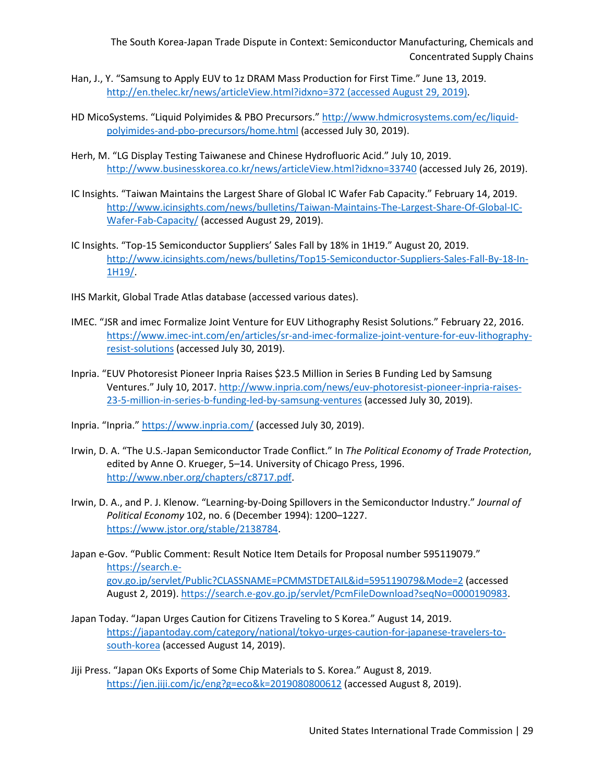The South Korea-Japan Trade Dispute in Context: Semiconductor Manufacturing, Chemicals and Concentrated Supply Chains

- Han, J., Y. "Samsung to Apply EUV to 1z DRAM Mass Production for First Time." June 13, 2019. <http://en.thelec.kr/news/articleView.html?idxno=372> (accessed August 29, 2019).
- HD MicoSystems. "Liquid Polyimides & PBO Precursors." [http://www.hdmicrosystems.com/ec/liquid](http://www.hdmicrosystems.com/ec/liquid-polyimides-and-pbo-precursors/home.html)[polyimides-and-pbo-precursors/home.html](http://www.hdmicrosystems.com/ec/liquid-polyimides-and-pbo-precursors/home.html) (accessed July 30, 2019).
- Herh, M. "LG Display Testing Taiwanese and Chinese Hydrofluoric Acid." July 10, 2019. <http://www.businesskorea.co.kr/news/articleView.html?idxno=33740> (accessed July 26, 2019).
- IC Insights. "Taiwan Maintains the Largest Share of Global IC Wafer Fab Capacity." February 14, 2019. [http://www.icinsights.com/news/bulletins/Taiwan-Maintains-The-Largest-Share-Of-Global-IC-](http://www.icinsights.com/news/bulletins/Taiwan-Maintains-The-Largest-Share-Of-Global-IC-Wafer-Fab-Capacity/)[Wafer-Fab-Capacity/](http://www.icinsights.com/news/bulletins/Taiwan-Maintains-The-Largest-Share-Of-Global-IC-Wafer-Fab-Capacity/) (accessed August 29, 2019).
- IC Insights. "Top-15 Semiconductor Suppliers' Sales Fall by 18% in 1H19." August 20, 2019. [http://www.icinsights.com/news/bulletins/Top15-Semiconductor-Suppliers-Sales-Fall-By-18-In-](http://www.icinsights.com/news/bulletins/Top15-Semiconductor-Suppliers-Sales-Fall-By-18-In-1H19/)[1H19/.](http://www.icinsights.com/news/bulletins/Top15-Semiconductor-Suppliers-Sales-Fall-By-18-In-1H19/)
- IHS Markit, Global Trade Atlas database (accessed various dates).
- IMEC. "JSR and imec Formalize Joint Venture for EUV Lithography Resist Solutions." February 22, 2016. [https://www.imec-int.com/en/articles/sr-and-imec-formalize-joint-venture-for-euv-lithography](https://www.imec-int.com/en/articles/sr-and-imec-formalize-joint-venture-for-euv-lithography-resist-solutions)[resist-solutions](https://www.imec-int.com/en/articles/sr-and-imec-formalize-joint-venture-for-euv-lithography-resist-solutions) (accessed July 30, 2019).
- Inpria. "EUV Photoresist Pioneer Inpria Raises \$23.5 Million in Series B Funding Led by Samsung Ventures." July 10, 2017[. http://www.inpria.com/news/euv-photoresist-pioneer-inpria-raises-](http://www.inpria.com/news/euv-photoresist-pioneer-inpria-raises-23-5-million-in-series-b-funding-led-by-samsung-ventures)[23-5-million-in-series-b-funding-led-by-samsung-ventures](http://www.inpria.com/news/euv-photoresist-pioneer-inpria-raises-23-5-million-in-series-b-funding-led-by-samsung-ventures) (accessed July 30, 2019).
- Inpria. "Inpria.[" https://www.inpria.com/](https://www.inpria.com/) (accessed July 30, 2019).
- Irwin, D. A. "The U.S.-Japan Semiconductor Trade Conflict." In *The Political Economy of Trade Protection*, edited by Anne O. Krueger, 5–14. University of Chicago Press, 1996. [http://www.nber.org/chapters/c8717.pdf.](http://www.nber.org/chapters/c8717.pdf)
- Irwin, D. A., and P. J. Klenow. "Learning-by-Doing Spillovers in the Semiconductor Industry." *Journal of Political Economy* 102, no. 6 (December 1994): 1200–1227. [https://www.jstor.org/stable/2138784.](https://www.jstor.org/stable/2138784)
- Japan e-Gov. "Public Comment: Result Notice Item Details for Proposal number 595119079." [https://search.e](https://search.e-gov.go.jp/servlet/Public?CLASSNAME=PCMMSTDETAIL&id=595119079&Mode=2)[gov.go.jp/servlet/Public?CLASSNAME=PCMMSTDETAIL&id=595119079&Mode=2](https://search.e-gov.go.jp/servlet/Public?CLASSNAME=PCMMSTDETAIL&id=595119079&Mode=2) (accessed August 2, 2019). [https://search.e-gov.go.jp/servlet/PcmFileDownload?seqNo=0000190983.](https://search.e-gov.go.jp/servlet/PcmFileDownload?seqNo=0000190983)
- Japan Today. "Japan Urges Caution for Citizens Traveling to S Korea." August 14, 2019. [https://japantoday.com/category/national/tokyo-urges-caution-for-japanese-travelers-to](https://japantoday.com/category/national/tokyo-urges-caution-for-japanese-travelers-to-south-korea)[south-korea](https://japantoday.com/category/national/tokyo-urges-caution-for-japanese-travelers-to-south-korea) (accessed August 14, 2019).
- Jiji Press. "Japan OKs Exports of Some Chip Materials to S. Korea." August 8, 2019. <https://jen.jiji.com/jc/eng?g=eco&k=2019080800612> (accessed August 8, 2019).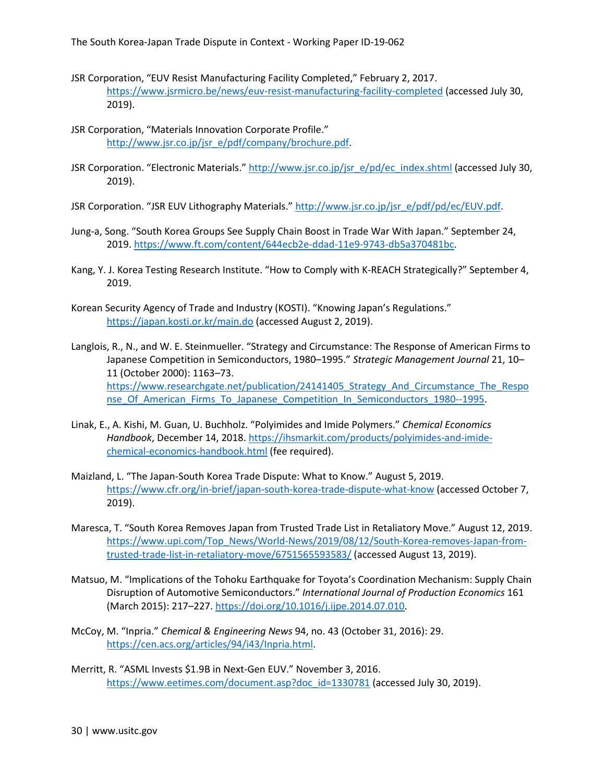The South Korea-Japan Trade Dispute in Context - Working Paper ID-19-062

- JSR Corporation, "EUV Resist Manufacturing Facility Completed," February 2, 2017. <https://www.jsrmicro.be/news/euv-resist-manufacturing-facility-completed> (accessed July 30, 2019).
- JSR Corporation, "Materials Innovation Corporate Profile." [http://www.jsr.co.jp/jsr\\_e/pdf/company/brochure.pdf.](http://www.jsr.co.jp/jsr_e/pdf/company/brochure.pdf)
- JSR Corporation. "Electronic Materials." [http://www.jsr.co.jp/jsr\\_e/pd/ec\\_index.shtml](http://www.jsr.co.jp/jsr_e/pd/ec_index.shtml) (accessed July 30, 2019).
- JSR Corporation. "JSR EUV Lithography Materials." [http://www.jsr.co.jp/jsr\\_e/pdf/pd/ec/EUV.pdf.](http://www.jsr.co.jp/jsr_e/pdf/pd/ec/EUV.pdf)
- Jung-a, Song. "South Korea Groups See Supply Chain Boost in Trade War With Japan." September 24, 2019[. https://www.ft.com/content/644ecb2e-ddad-11e9-9743-db5a370481bc.](https://www.ft.com/content/644ecb2e-ddad-11e9-9743-db5a370481bc)
- Kang, Y. J. Korea Testing Research Institute. "How to Comply with K-REACH Strategically?" September 4, 2019.
- Korean Security Agency of Trade and Industry (KOSTI). "Knowing Japan's Regulations." <https://japan.kosti.or.kr/main.do> (accessed August 2, 2019).
- Langlois, R., N., and W. E. Steinmueller. "Strategy and Circumstance: The Response of American Firms to Japanese Competition in Semiconductors, 1980–1995." *Strategic Management Journal* 21, 10– 11 (October 2000): 1163–73. [https://www.researchgate.net/publication/24141405\\_Strategy\\_And\\_Circumstance\\_The\\_Respo](https://www.researchgate.net/publication/24141405_Strategy_And_Circumstance_The_Response_Of_American_Firms_To_Japanese_Competition_In_Semiconductors_1980--1995) [nse\\_Of\\_American\\_Firms\\_To\\_Japanese\\_Competition\\_In\\_Semiconductors\\_1980--1995.](https://www.researchgate.net/publication/24141405_Strategy_And_Circumstance_The_Response_Of_American_Firms_To_Japanese_Competition_In_Semiconductors_1980--1995)
- Linak, E., A. Kishi, M. Guan, U. Buchholz. "Polyimides and Imide Polymers." *Chemical Economics Handbook*, December 14, 2018[. https://ihsmarkit.com/products/polyimides-and-imide](https://ihsmarkit.com/products/polyimides-and-imide-chemical-economics-handbook.html)[chemical-economics-handbook.html](https://ihsmarkit.com/products/polyimides-and-imide-chemical-economics-handbook.html) (fee required).
- Maizland, L. "The Japan-South Korea Trade Dispute: What to Know." August 5, 2019. <https://www.cfr.org/in-brief/japan-south-korea-trade-dispute-what-know> (accessed October 7, 2019).
- Maresca, T. "South Korea Removes Japan from Trusted Trade List in Retaliatory Move." August 12, 2019. [https://www.upi.com/Top\\_News/World-News/2019/08/12/South-Korea-removes-Japan-from](https://www.upi.com/Top_News/World-News/2019/08/12/South-Korea-removes-Japan-from-trusted-trade-list-in-retaliatory-move/6751565593583/)[trusted-trade-list-in-retaliatory-move/6751565593583/](https://www.upi.com/Top_News/World-News/2019/08/12/South-Korea-removes-Japan-from-trusted-trade-list-in-retaliatory-move/6751565593583/) (accessed August 13, 2019).
- Matsuo, M. "Implications of the Tohoku Earthquake for Toyota's Coordination Mechanism: Supply Chain Disruption of Automotive Semiconductors." *International Journal of Production Economics* 161 (March 2015): 217–227. [https://doi.org/10.1016/j.ijpe.2014.07.010.](https://doi.org/10.1016/j.ijpe.2014.07.010)
- McCoy, M. "Inpria." *Chemical & Engineering News* 94, no. 43 (October 31, 2016): 29. [https://cen.acs.org/articles/94/i43/Inpria.html.](https://cen.acs.org/articles/94/i43/Inpria.html)
- Merritt, R. "ASML Invests \$1.9B in Next-Gen EUV." November 3, 2016. [https://www.eetimes.com/document.asp?doc\\_id=1330781](https://www.eetimes.com/document.asp?doc_id=1330781) (accessed July 30, 2019).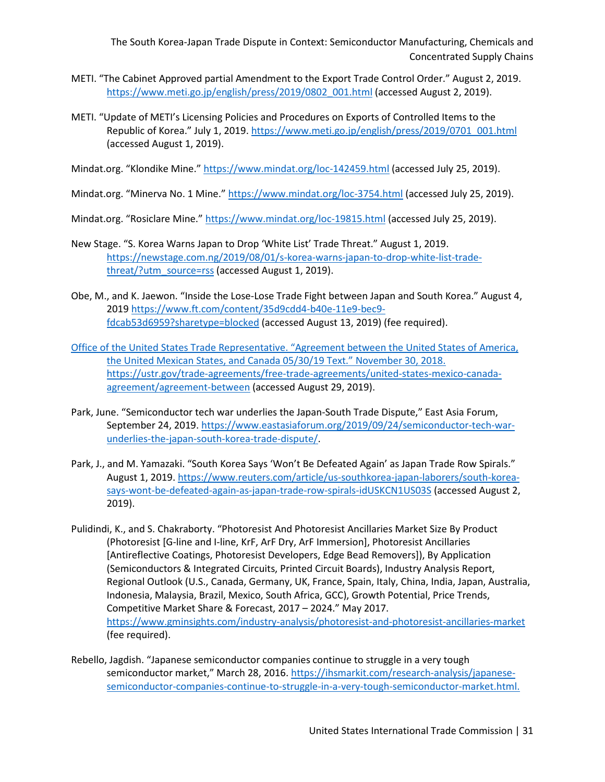The South Korea-Japan Trade Dispute in Context: Semiconductor Manufacturing, Chemicals and Concentrated Supply Chains

- METI. "The Cabinet Approved partial Amendment to the Export Trade Control Order." August 2, 2019. [https://www.meti.go.jp/english/press/2019/0802\\_001.html](https://www.meti.go.jp/english/press/2019/0802_001.html) (accessed August 2, 2019).
- METI. "Update of METI's Licensing Policies and Procedures on Exports of Controlled Items to the Republic of Korea." July 1, 2019. [https://www.meti.go.jp/english/press/2019/0701\\_001.html](https://www.meti.go.jp/english/press/2019/0701_001.html) (accessed August 1, 2019).

Mindat.org. "Klondike Mine."<https://www.mindat.org/loc-142459.html> (accessed July 25, 2019).

Mindat.org. "Minerva No. 1 Mine."<https://www.mindat.org/loc-3754.html> (accessed July 25, 2019).

Mindat.org. "Rosiclare Mine."<https://www.mindat.org/loc-19815.html> (accessed July 25, 2019).

- New Stage. "S. Korea Warns Japan to Drop 'White List' Trade Threat." August 1, 2019. [https://newstage.com.ng/2019/08/01/s-korea-warns-japan-to-drop-white-list-trade](https://newstage.com.ng/2019/08/01/s-korea-warns-japan-to-drop-white-list-trade-threat/?utm_source=rss)[threat/?utm\\_source=rss](https://newstage.com.ng/2019/08/01/s-korea-warns-japan-to-drop-white-list-trade-threat/?utm_source=rss) (accessed August 1, 2019).
- Obe, M., and K. Jaewon. "Inside the Lose-Lose Trade Fight between Japan and South Korea." August 4, 2019 [https://www.ft.com/content/35d9cdd4-b40e-11e9-bec9](https://www.ft.com/content/35d9cdd4-b40e-11e9-bec9-fdcab53d6959?sharetype=blocked) [fdcab53d6959?sharetype=blocked](https://www.ft.com/content/35d9cdd4-b40e-11e9-bec9-fdcab53d6959?sharetype=blocked) (accessed August 13, 2019) (fee required).
- Office of the United States Trade Representative. "Agreement between the United States of America, the United Mexican States, and Canada 05/30/19 Text." November 30, 2018. [https://ustr.gov/trade-agreements/free-trade-agreements/united-states-mexico-canada](https://ustr.gov/trade-agreements/free-trade-agreements/united-states-mexico-canada-agreement/agreement-between)[agreement/agreement-between](https://ustr.gov/trade-agreements/free-trade-agreements/united-states-mexico-canada-agreement/agreement-between) (accessed August 29, 2019).
- Park, June. "Semiconductor tech war underlies the Japan-South Trade Dispute," East Asia Forum, September 24, 2019. [https://www.eastasiaforum.org/2019/09/24/semiconductor-tech-war](https://www.eastasiaforum.org/2019/09/24/semiconductor-tech-war-underlies-the-japan-south-korea-trade-dispute/)[underlies-the-japan-south-korea-trade-dispute/.](https://www.eastasiaforum.org/2019/09/24/semiconductor-tech-war-underlies-the-japan-south-korea-trade-dispute/)
- Park, J., and M. Yamazaki. "South Korea Says 'Won't Be Defeated Again' as Japan Trade Row Spirals." August 1, 2019. [https://www.reuters.com/article/us-southkorea-japan-laborers/south-korea](https://www.reuters.com/article/us-southkorea-japan-laborers/south-korea-says-wont-be-defeated-again-as-japan-trade-row-spirals-idUSKCN1US03S)[says-wont-be-defeated-again-as-japan-trade-row-spirals-idUSKCN1US03S](https://www.reuters.com/article/us-southkorea-japan-laborers/south-korea-says-wont-be-defeated-again-as-japan-trade-row-spirals-idUSKCN1US03S) (accessed August 2, 2019).
- Pulidindi, K., and S. Chakraborty. "Photoresist And Photoresist Ancillaries Market Size By Product (Photoresist [G-line and I-line, KrF, ArF Dry, ArF Immersion], Photoresist Ancillaries [Antireflective Coatings, Photoresist Developers, Edge Bead Removers]), By Application (Semiconductors & Integrated Circuits, Printed Circuit Boards), Industry Analysis Report, Regional Outlook (U.S., Canada, Germany, UK, France, Spain, Italy, China, India, Japan, Australia, Indonesia, Malaysia, Brazil, Mexico, South Africa, GCC), Growth Potential, Price Trends, Competitive Market Share & Forecast, 2017 – 2024." May 2017. <https://www.gminsights.com/industry-analysis/photoresist-and-photoresist-ancillaries-market> (fee required).
- Rebello, Jagdish. "Japanese semiconductor companies continue to struggle in a very tough semiconductor market," March 28, 2016[. https://ihsmarkit.com/research-analysis/japanese](https://ihsmarkit.com/research-analysis/japanese-semiconductor-companies-continue-to-struggle-in-a-very-tough-semiconductor-market.html)[semiconductor-companies-continue-to-struggle-in-a-very-tough-semiconductor-market.html.](https://ihsmarkit.com/research-analysis/japanese-semiconductor-companies-continue-to-struggle-in-a-very-tough-semiconductor-market.html)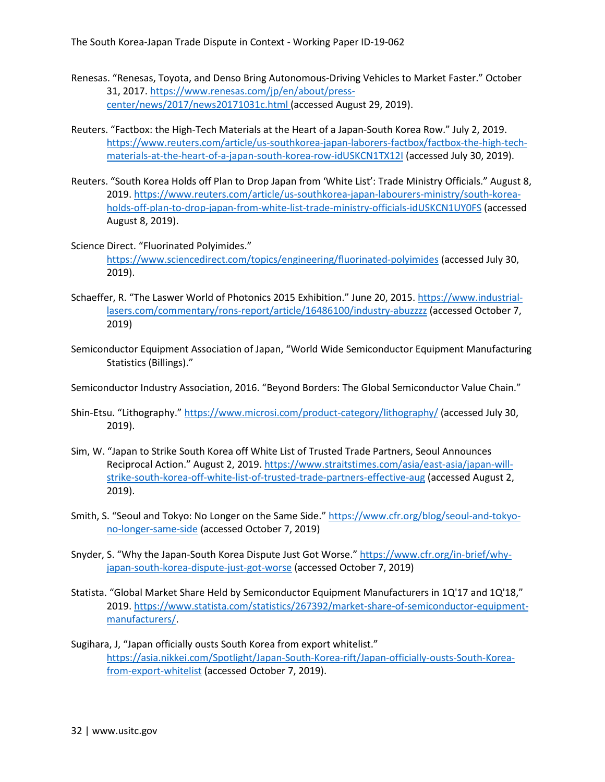The South Korea-Japan Trade Dispute in Context - Working Paper ID-19-062

- Renesas. "Renesas, Toyota, and Denso Bring Autonomous-Driving Vehicles to Market Faster." October 31, 2017. [https://www.renesas.com/jp/en/about/press](https://www.renesas.com/jp/en/about/press-center/news/2017/news20171031c.html)[center/news/2017/news20171031c.html](https://www.renesas.com/jp/en/about/press-center/news/2017/news20171031c.html) (accessed August 29, 2019).
- Reuters. "Factbox: the High-Tech Materials at the Heart of a Japan-South Korea Row." July 2, 2019. [https://www.reuters.com/article/us-southkorea-japan-laborers-factbox/factbox-the-high-tech](https://www.reuters.com/article/us-southkorea-japan-laborers-factbox/factbox-the-high-tech-materials-at-the-heart-of-a-japan-south-korea-row-idUSKCN1TX12I)[materials-at-the-heart-of-a-japan-south-korea-row-idUSKCN1TX12I](https://www.reuters.com/article/us-southkorea-japan-laborers-factbox/factbox-the-high-tech-materials-at-the-heart-of-a-japan-south-korea-row-idUSKCN1TX12I) (accessed July 30, 2019).
- Reuters. "South Korea Holds off Plan to Drop Japan from 'White List': Trade Ministry Officials." August 8, 2019[. https://www.reuters.com/article/us-southkorea-japan-labourers-ministry/south-korea](https://www.reuters.com/article/us-southkorea-japan-labourers-ministry/south-korea-holds-off-plan-to-drop-japan-from-white-list-trade-ministry-officials-idUSKCN1UY0FS)[holds-off-plan-to-drop-japan-from-white-list-trade-ministry-officials-idUSKCN1UY0FS](https://www.reuters.com/article/us-southkorea-japan-labourers-ministry/south-korea-holds-off-plan-to-drop-japan-from-white-list-trade-ministry-officials-idUSKCN1UY0FS) (accessed August 8, 2019).
- Science Direct. "Fluorinated Polyimides." <https://www.sciencedirect.com/topics/engineering/fluorinated-polyimides> (accessed July 30, 2019).
- Schaeffer, R. "The Laswer World of Photonics 2015 Exhibition." June 20, 2015. [https://www.industrial](https://www.industrial-lasers.com/commentary/rons-report/article/16486100/industry-abuzzzz)[lasers.com/commentary/rons-report/article/16486100/industry-abuzzzz](https://www.industrial-lasers.com/commentary/rons-report/article/16486100/industry-abuzzzz) (accessed October 7, 2019)
- Semiconductor Equipment Association of Japan, "World Wide Semiconductor Equipment Manufacturing Statistics (Billings)."

Semiconductor Industry Association, 2016. "Beyond Borders: The Global Semiconductor Value Chain."

- Shin-Etsu. "Lithography.[" https://www.microsi.com/product-category/lithography/](https://www.microsi.com/product-category/lithography/) (accessed July 30, 2019).
- Sim, W. "Japan to Strike South Korea off White List of Trusted Trade Partners, Seoul Announces Reciprocal Action." August 2, 2019[. https://www.straitstimes.com/asia/east-asia/japan-will](https://www.straitstimes.com/asia/east-asia/japan-will-strike-south-korea-off-white-list-of-trusted-trade-partners-effective-aug)[strike-south-korea-off-white-list-of-trusted-trade-partners-effective-aug](https://www.straitstimes.com/asia/east-asia/japan-will-strike-south-korea-off-white-list-of-trusted-trade-partners-effective-aug) (accessed August 2, 2019).
- Smith, S. "Seoul and Tokyo: No Longer on the Same Side.[" https://www.cfr.org/blog/seoul-and-tokyo](https://www.cfr.org/blog/seoul-and-tokyo-no-longer-same-side)[no-longer-same-side](https://www.cfr.org/blog/seoul-and-tokyo-no-longer-same-side) (accessed October 7, 2019)
- Snyder, S. "Why the Japan-South Korea Dispute Just Got Worse." [https://www.cfr.org/in-brief/why](https://www.cfr.org/in-brief/why-japan-south-korea-dispute-just-got-worse)[japan-south-korea-dispute-just-got-worse](https://www.cfr.org/in-brief/why-japan-south-korea-dispute-just-got-worse) (accessed October 7, 2019)
- Statista. "Global Market Share Held by Semiconductor Equipment Manufacturers in 1Q'17 and 1Q'18," 2019[. https://www.statista.com/statistics/267392/market-share-of-semiconductor-equipment](https://www.statista.com/statistics/267392/market-share-of-semiconductor-equipment-manufacturers/)[manufacturers/.](https://www.statista.com/statistics/267392/market-share-of-semiconductor-equipment-manufacturers/)
- Sugihara, J, "Japan officially ousts South Korea from export whitelist." [https://asia.nikkei.com/Spotlight/Japan-South-Korea-rift/Japan-officially-ousts-South-Korea](https://asia.nikkei.com/Spotlight/Japan-South-Korea-rift/Japan-officially-ousts-South-Korea-from-export-whitelist)[from-export-whitelist](https://asia.nikkei.com/Spotlight/Japan-South-Korea-rift/Japan-officially-ousts-South-Korea-from-export-whitelist) (accessed October 7, 2019).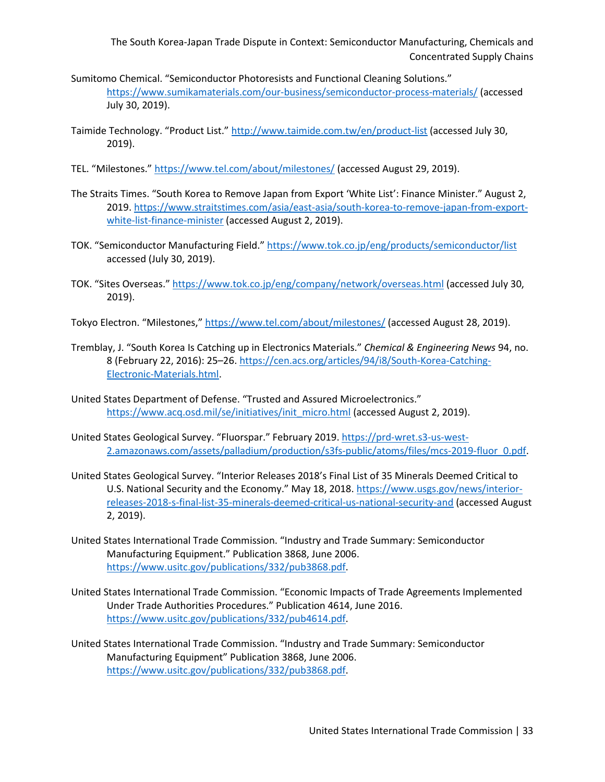The South Korea-Japan Trade Dispute in Context: Semiconductor Manufacturing, Chemicals and Concentrated Supply Chains

- Sumitomo Chemical. "Semiconductor Photoresists and Functional Cleaning Solutions." <https://www.sumikamaterials.com/our-business/semiconductor-process-materials/> (accessed July 30, 2019).
- Taimide Technology. "Product List."<http://www.taimide.com.tw/en/product-list> (accessed July 30, 2019).
- TEL. "Milestones."<https://www.tel.com/about/milestones/> (accessed August 29, 2019).
- The Straits Times. "South Korea to Remove Japan from Export 'White List': Finance Minister." August 2, 2019[. https://www.straitstimes.com/asia/east-asia/south-korea-to-remove-japan-from-export](https://www.straitstimes.com/asia/east-asia/south-korea-to-remove-japan-from-export-white-list-finance-minister)[white-list-finance-minister](https://www.straitstimes.com/asia/east-asia/south-korea-to-remove-japan-from-export-white-list-finance-minister) (accessed August 2, 2019).
- TOK. "Semiconductor Manufacturing Field."<https://www.tok.co.jp/eng/products/semiconductor/list> accessed (July 30, 2019).
- TOK. "Sites Overseas.[" https://www.tok.co.jp/eng/company/network/overseas.html](https://www.tok.co.jp/eng/company/network/overseas.html) (accessed July 30, 2019).
- Tokyo Electron. "Milestones,[" https://www.tel.com/about/milestones/](https://www.tel.com/about/milestones/) (accessed August 28, 2019).
- Tremblay, J. "South Korea Is Catching up in Electronics Materials." *Chemical & Engineering News* 94, no. 8 (February 22, 2016): 25–26[. https://cen.acs.org/articles/94/i8/South-Korea-Catching-](https://cen.acs.org/articles/94/i8/South-Korea-Catching-Electronic-Materials.html)[Electronic-Materials.html.](https://cen.acs.org/articles/94/i8/South-Korea-Catching-Electronic-Materials.html)
- United States Department of Defense. "Trusted and Assured Microelectronics." [https://www.acq.osd.mil/se/initiatives/init\\_micro.html](https://www.acq.osd.mil/se/initiatives/init_micro.html) (accessed August 2, 2019).
- United States Geological Survey. "Fluorspar." February 2019. [https://prd-wret.s3-us-west-](https://prd-wret.s3-us-west-2.amazonaws.com/assets/palladium/production/s3fs-public/atoms/files/mcs-2019-fluor_0.pdf)[2.amazonaws.com/assets/palladium/production/s3fs-public/atoms/files/mcs-2019-fluor\\_0.pdf.](https://prd-wret.s3-us-west-2.amazonaws.com/assets/palladium/production/s3fs-public/atoms/files/mcs-2019-fluor_0.pdf)
- United States Geological Survey. "Interior Releases 2018's Final List of 35 Minerals Deemed Critical to U.S. National Security and the Economy." May 18, 2018. [https://www.usgs.gov/news/interior](https://www.usgs.gov/news/interior-releases-2018-s-final-list-35-minerals-deemed-critical-us-national-security-and)[releases-2018-s-final-list-35-minerals-deemed-critical-us-national-security-and](https://www.usgs.gov/news/interior-releases-2018-s-final-list-35-minerals-deemed-critical-us-national-security-and) (accessed August 2, 2019).
- United States International Trade Commission. "Industry and Trade Summary: Semiconductor Manufacturing Equipment." Publication 3868, June 2006. [https://www.usitc.gov/publications/332/pub3868.pdf.](https://www.usitc.gov/publications/332/pub3868.pdf)
- United States International Trade Commission. "Economic Impacts of Trade Agreements Implemented Under Trade Authorities Procedures." Publication 4614, June 2016. [https://www.usitc.gov/publications/332/pub4614.pdf.](https://www.usitc.gov/publications/332/pub4614.pdf)
- United States International Trade Commission. "Industry and Trade Summary: Semiconductor Manufacturing Equipment" Publication 3868, June 2006. [https://www.usitc.gov/publications/332/pub3868.pdf.](https://www.usitc.gov/publications/332/pub3868.pdf)